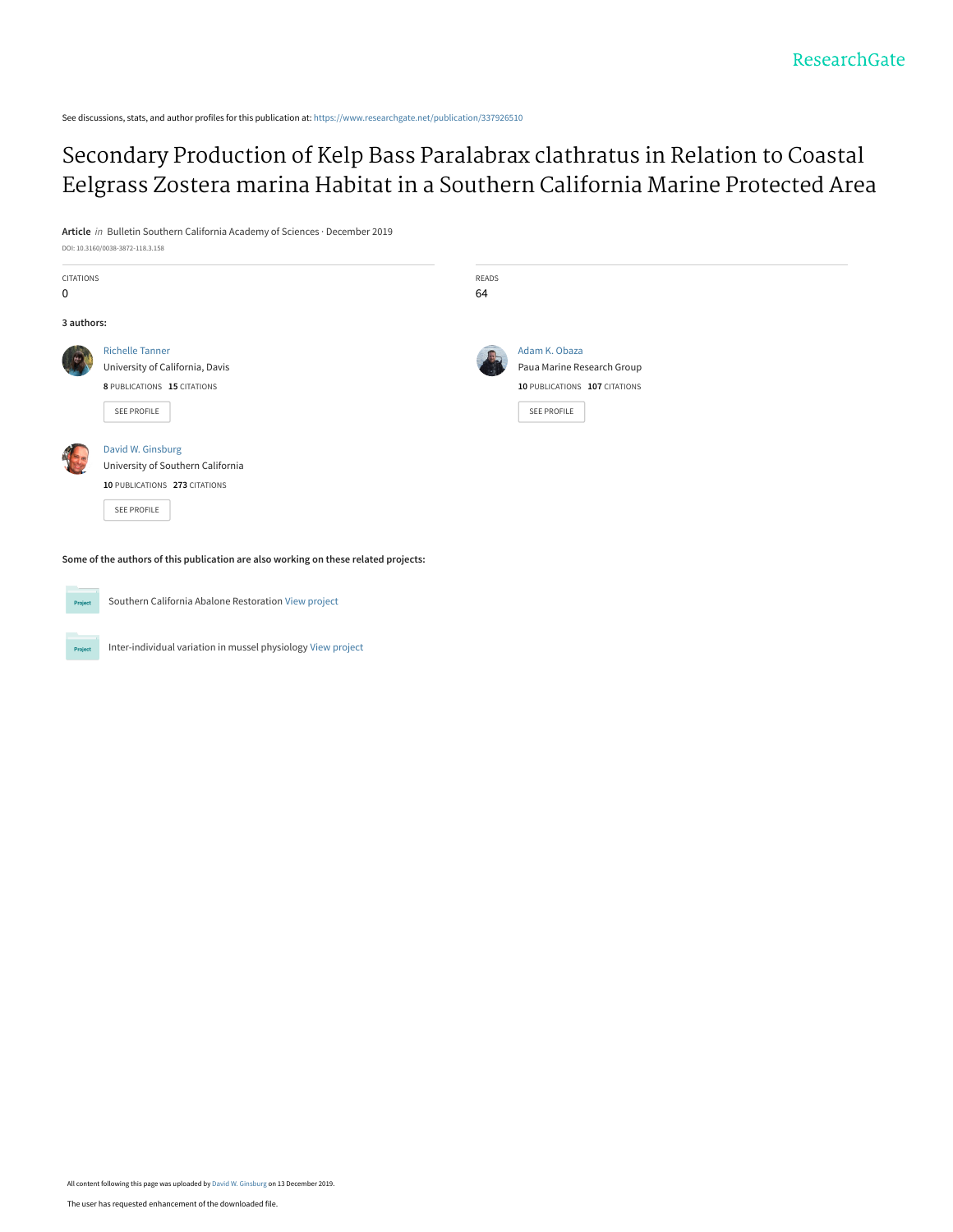See discussions, stats, and author profiles for this publication at: [https://www.researchgate.net/publication/337926510](https://www.researchgate.net/publication/337926510_Secondary_Production_of_Kelp_Bass_Paralabrax_clathratus_in_Relation_to_Coastal_Eelgrass_Zostera_marina_Habitat_in_a_Southern_California_Marine_Protected_Area?enrichId=rgreq-f07b078312c76a9fa9f613bdc5c9c7c8-XXX&enrichSource=Y292ZXJQYWdlOzMzNzkyNjUxMDtBUzo4MzU3ODE2NDgxOTE0ODlAMTU3NjI3NzI4MTc1NQ%3D%3D&el=1_x_2&_esc=publicationCoverPdf)

Secondary Production of Kelp Bass Paralabrax clathratus in Relation to Coastal [Eelgrass Zostera marina Habitat in a Southern California Marine Protected Area](https://www.researchgate.net/publication/337926510_Secondary_Production_of_Kelp_Bass_Paralabrax_clathratus_in_Relation_to_Coastal_Eelgrass_Zostera_marina_Habitat_in_a_Southern_California_Marine_Protected_Area?enrichId=rgreq-f07b078312c76a9fa9f613bdc5c9c7c8-XXX&enrichSource=Y292ZXJQYWdlOzMzNzkyNjUxMDtBUzo4MzU3ODE2NDgxOTE0ODlAMTU3NjI3NzI4MTc1NQ%3D%3D&el=1_x_3&_esc=publicationCoverPdf)

**Article** in Bulletin Southern California Academy of Sciences · December 2019

| CITATIONS<br>0 |                                                                                                         | READS<br>64 |                                                                                                    |  |  |
|----------------|---------------------------------------------------------------------------------------------------------|-------------|----------------------------------------------------------------------------------------------------|--|--|
| 3 authors:     |                                                                                                         |             |                                                                                                    |  |  |
|                | <b>Richelle Tanner</b><br>University of California, Davis<br>8 PUBLICATIONS 15 CITATIONS<br>SEE PROFILE |             | Adam K. Obaza<br>Paua Marine Research Group<br>10 PUBLICATIONS 107 CITATIONS<br><b>SEE PROFILE</b> |  |  |
|                | David W. Ginsburg<br>University of Southern California<br>10 PUBLICATIONS 273 CITATIONS<br>SEE PROFILE  |             |                                                                                                    |  |  |

**Some of the authors of this publication are also working on these related projects:**



DOI: 10.3160/0038-3872-118.3.158

Southern California Abalone Restoration [View project](https://www.researchgate.net/project/Southern-California-Abalone-Restoration?enrichId=rgreq-f07b078312c76a9fa9f613bdc5c9c7c8-XXX&enrichSource=Y292ZXJQYWdlOzMzNzkyNjUxMDtBUzo4MzU3ODE2NDgxOTE0ODlAMTU3NjI3NzI4MTc1NQ%3D%3D&el=1_x_9&_esc=publicationCoverPdf)

Inter-individual variation in mussel physiology [View project](https://www.researchgate.net/project/Inter-individual-variation-in-mussel-physiology?enrichId=rgreq-f07b078312c76a9fa9f613bdc5c9c7c8-XXX&enrichSource=Y292ZXJQYWdlOzMzNzkyNjUxMDtBUzo4MzU3ODE2NDgxOTE0ODlAMTU3NjI3NzI4MTc1NQ%3D%3D&el=1_x_9&_esc=publicationCoverPdf) Project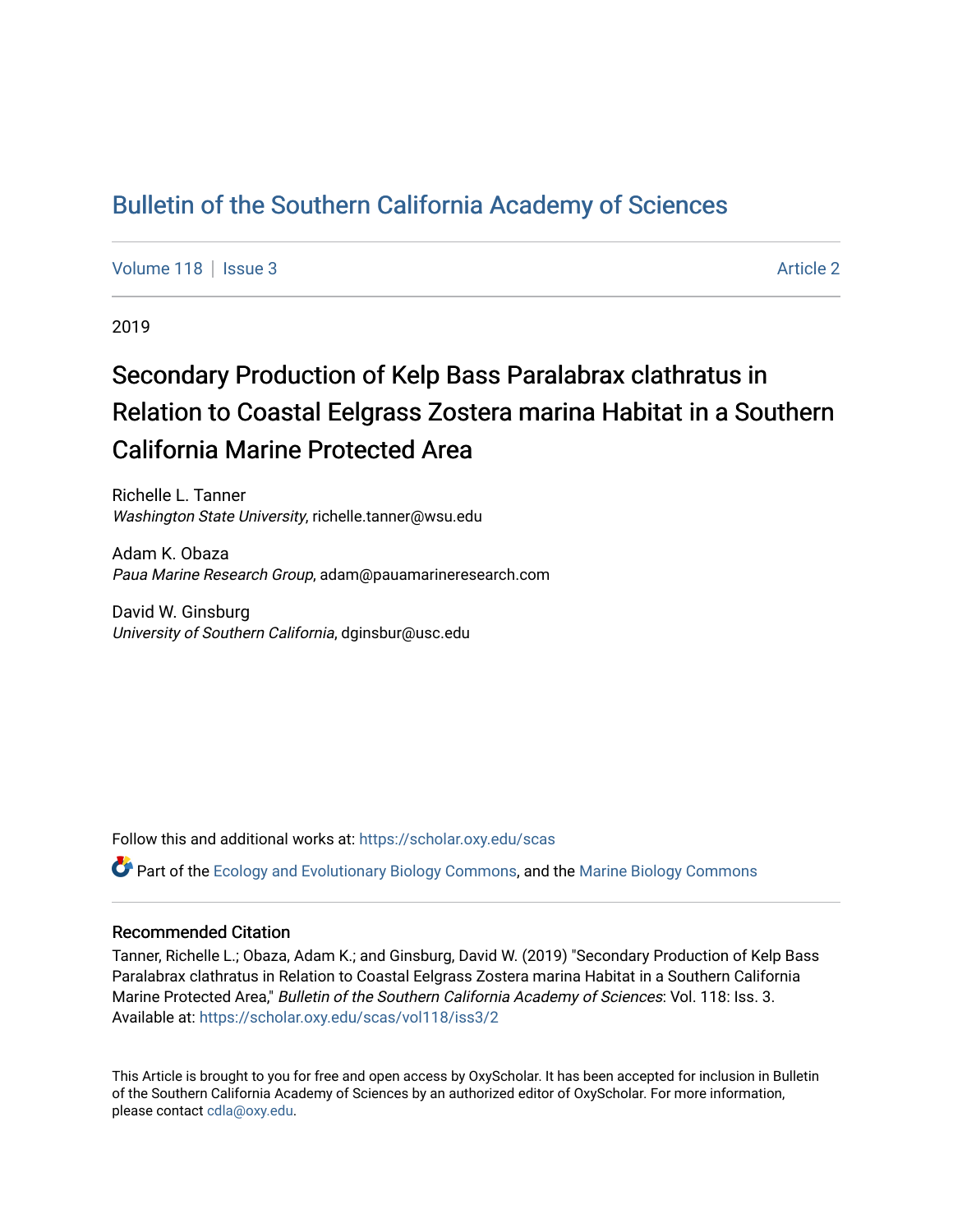# [Bulletin of the Southern California Academy of Sciences](https://scholar.oxy.edu/scas)

[Volume 118](https://scholar.oxy.edu/scas/vol118) | [Issue 3](https://scholar.oxy.edu/scas/vol118/iss3) Article 2

2019

# Secondary Production of Kelp Bass Paralabrax clathratus in Relation to Coastal Eelgrass Zostera marina Habitat in a Southern California Marine Protected Area

Richelle L. Tanner Washington State University, richelle.tanner@wsu.edu

Adam K. Obaza Paua Marine Research Group, adam@pauamarineresearch.com

David W. Ginsburg University of Southern California, dginsbur@usc.edu

Follow this and additional works at: [https://scholar.oxy.edu/scas](https://scholar.oxy.edu/scas?utm_source=scholar.oxy.edu%2Fscas%2Fvol118%2Fiss3%2F2&utm_medium=PDF&utm_campaign=PDFCoverPages)

Part of the [Ecology and Evolutionary Biology Commons](http://network.bepress.com/hgg/discipline/14?utm_source=scholar.oxy.edu%2Fscas%2Fvol118%2Fiss3%2F2&utm_medium=PDF&utm_campaign=PDFCoverPages), and the [Marine Biology Commons](http://network.bepress.com/hgg/discipline/1126?utm_source=scholar.oxy.edu%2Fscas%2Fvol118%2Fiss3%2F2&utm_medium=PDF&utm_campaign=PDFCoverPages) 

## Recommended Citation

Tanner, Richelle L.; Obaza, Adam K.; and Ginsburg, David W. (2019) "Secondary Production of Kelp Bass Paralabrax clathratus in Relation to Coastal Eelgrass Zostera marina Habitat in a Southern California Marine Protected Area," Bulletin of the Southern California Academy of Sciences: Vol. 118: Iss. 3. Available at: [https://scholar.oxy.edu/scas/vol118/iss3/2](https://scholar.oxy.edu/scas/vol118/iss3/2?utm_source=scholar.oxy.edu%2Fscas%2Fvol118%2Fiss3%2F2&utm_medium=PDF&utm_campaign=PDFCoverPages)

This Article is brought to you for free and open access by OxyScholar. It has been accepted for inclusion in Bulletin of the Southern California Academy of Sciences by an authorized editor of OxyScholar. For more information, please contact [cdla@oxy.edu](mailto:cdla@oxy.edu).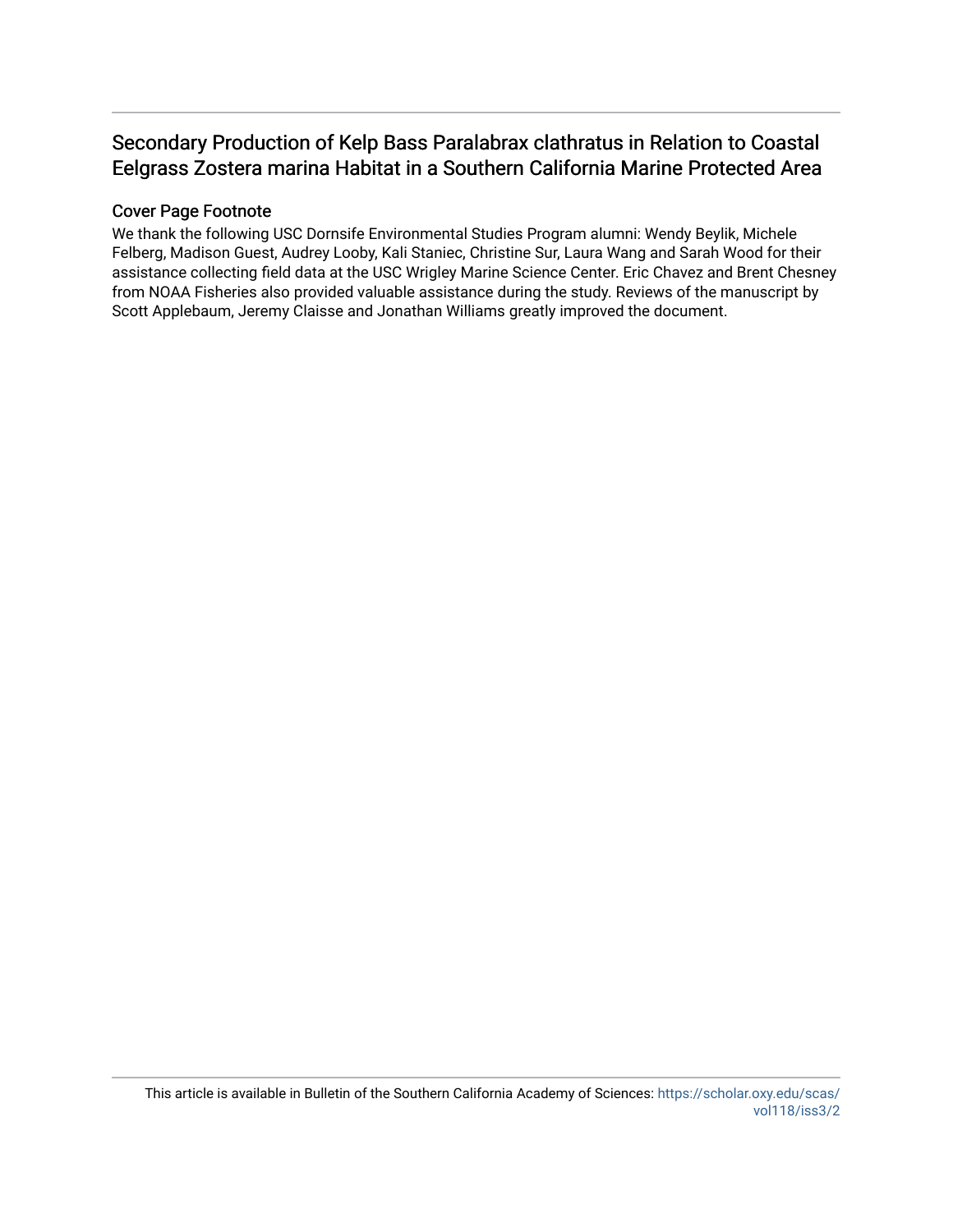# Secondary Production of Kelp Bass Paralabrax clathratus in Relation to Coastal Eelgrass Zostera marina Habitat in a Southern California Marine Protected Area

## Cover Page Footnote

We thank the following USC Dornsife Environmental Studies Program alumni: Wendy Beylik, Michele Felberg, Madison Guest, Audrey Looby, Kali Staniec, Christine Sur, Laura Wang and Sarah Wood for their assistance collecting field data at the USC Wrigley Marine Science Center. Eric Chavez and Brent Chesney from NOAA Fisheries also provided valuable assistance during the study. Reviews of the manuscript by Scott Applebaum, Jeremy Claisse and Jonathan Williams greatly improved the document.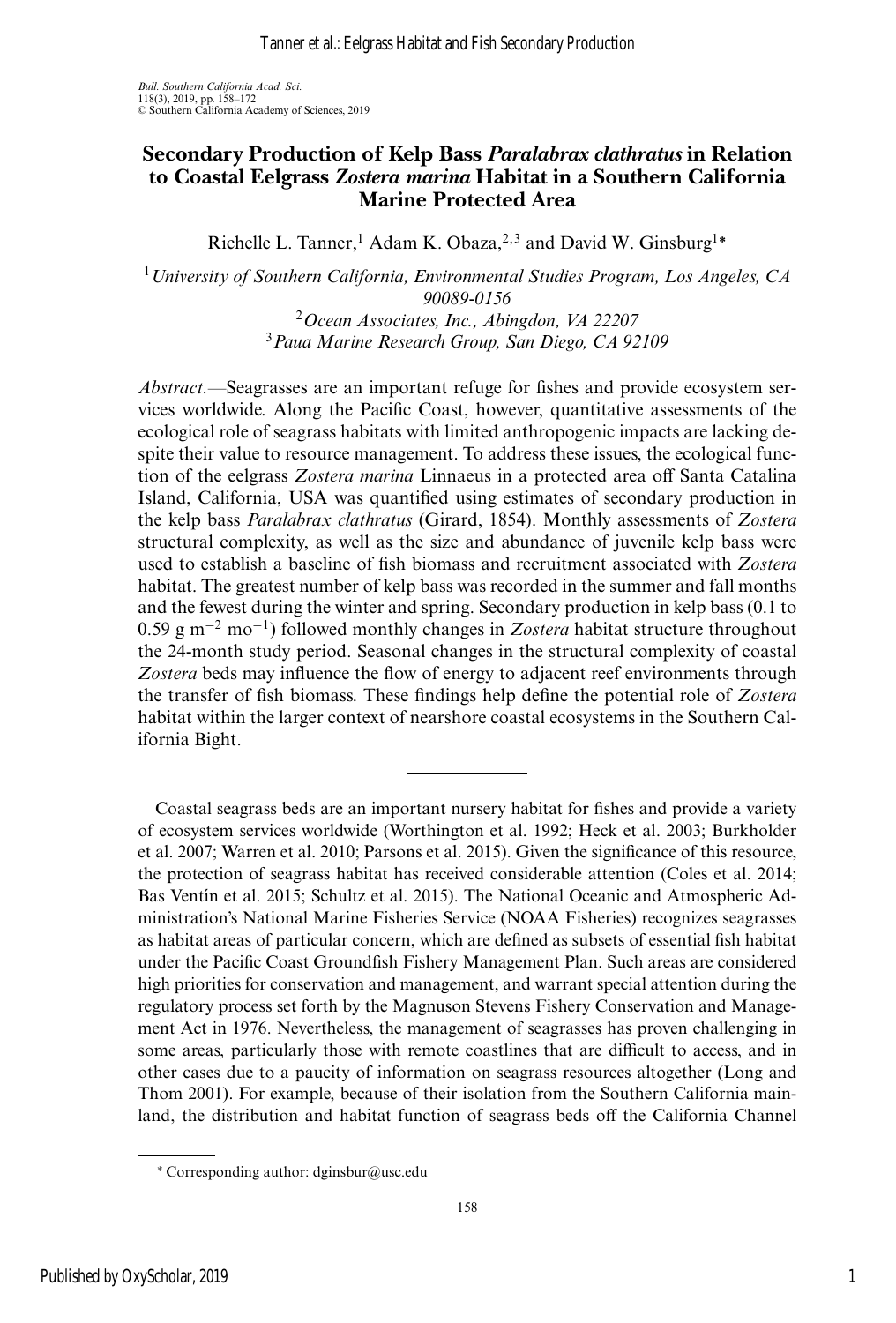### **Secondary Production of Kelp Bass** *Paralabrax clathratus* **in Relation to Coastal Eelgrass** *Zostera marina* **Habitat in a Southern California Marine Protected Area**

Richelle L. Tanner,<sup>1</sup> Adam K. Obaza,<sup>2,3</sup> and David W. Ginsburg<sup>1∗</sup>

<sup>1</sup>*University of Southern California, Environmental Studies Program, Los Angeles, CA 90089-0156*

> <sup>2</sup>*Ocean Associates, Inc., Abingdon, VA 22207* <sup>3</sup>*Paua Marine Research Group, San Diego, CA 92109*

*Abstract.—*Seagrasses are an important refuge for fishes and provide ecosystem services worldwide. Along the Pacific Coast, however, quantitative assessments of the ecological role of seagrass habitats with limited anthropogenic impacts are lacking despite their value to resource management. To address these issues, the ecological function of the eelgrass *Zostera marina* Linnaeus in a protected area off Santa Catalina Island, California, USA was quantified using estimates of secondary production in the kelp bass *Paralabrax clathratus* (Girard, 1854). Monthly assessments of *Zostera* structural complexity, as well as the size and abundance of juvenile kelp bass were used to establish a baseline of fish biomass and recruitment associated with *Zostera* habitat. The greatest number of kelp bass was recorded in the summer and fall months and the fewest during the winter and spring. Secondary production in kelp bass (0.1 to 0.59 g m−<sup>2</sup> mo−1) followed monthly changes in *Zostera* habitat structure throughout the 24-month study period. Seasonal changes in the structural complexity of coastal *Zostera* beds may influence the flow of energy to adjacent reef environments through the transfer of fish biomass. These findings help define the potential role of *Zostera* habitat within the larger context of nearshore coastal ecosystems in the Southern California Bight.

Coastal seagrass beds are an important nursery habitat for fishes and provide a variety of ecosystem services worldwide (Worthington et al. 1992; Heck et al. 2003; Burkholder et al. 2007; Warren et al. 2010; Parsons et al. 2015). Given the significance of this resource, the protection of seagrass habitat has received considerable attention (Coles et al. 2014; Bas Ventín et al. 2015; Schultz et al. 2015). The National Oceanic and Atmospheric Administration's National Marine Fisheries Service (NOAA Fisheries) recognizes seagrasses as habitat areas of particular concern, which are defined as subsets of essential fish habitat under the Pacific Coast Groundfish Fishery Management Plan. Such areas are considered high priorities for conservation and management, and warrant special attention during the regulatory process set forth by the Magnuson Stevens Fishery Conservation and Management Act in 1976. Nevertheless, the management of seagrasses has proven challenging in some areas, particularly those with remote coastlines that are difficult to access, and in other cases due to a paucity of information on seagrass resources altogether (Long and Thom 2001). For example, because of their isolation from the Southern California mainland, the distribution and habitat function of seagrass beds off the California Channel

<sup>∗</sup> Corresponding author: dginsbur@usc.edu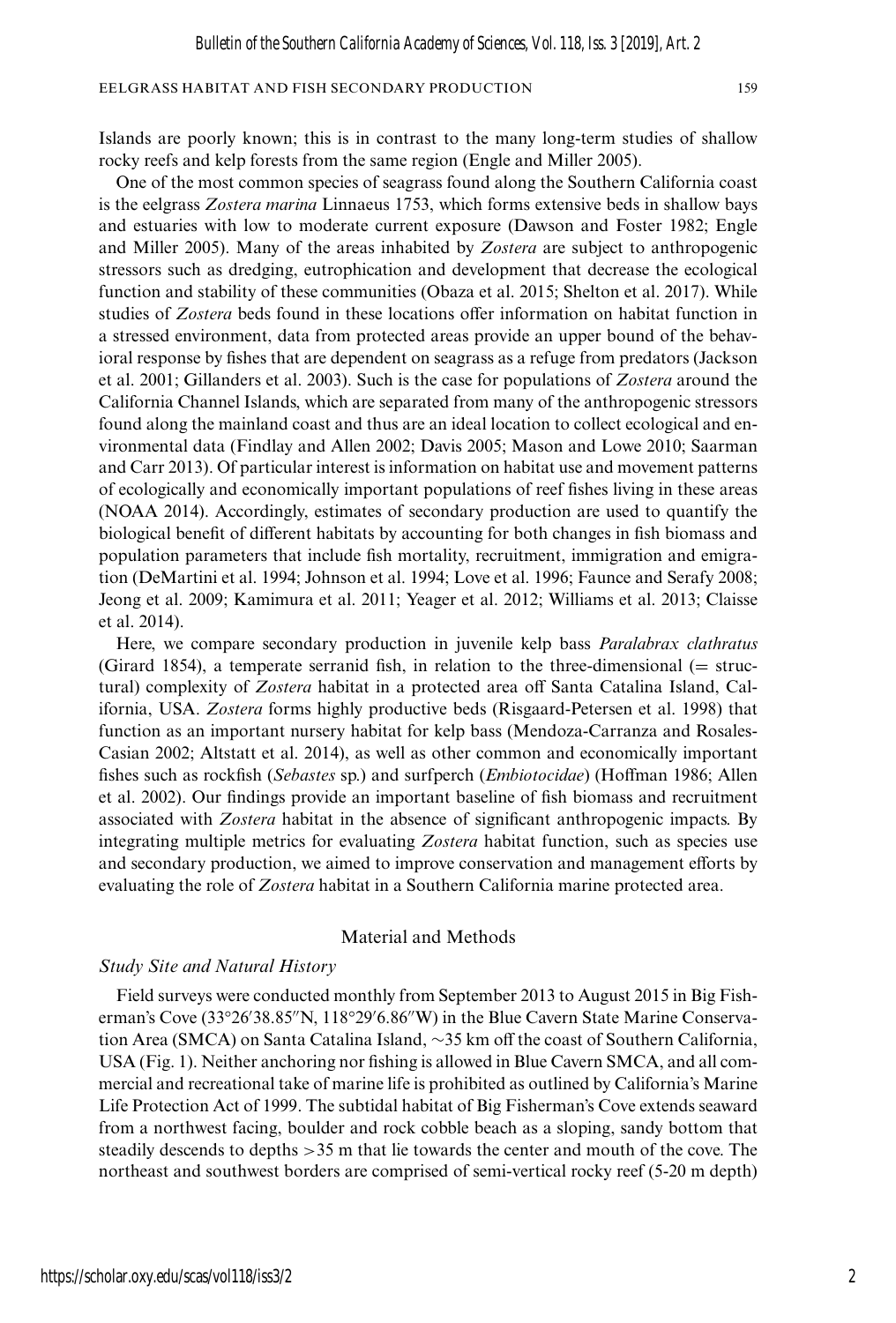Islands are poorly known; this is in contrast to the many long-term studies of shallow rocky reefs and kelp forests from the same region (Engle and Miller 2005).

One of the most common species of seagrass found along the Southern California coast is the eelgrass *Zostera marina* Linnaeus 1753, which forms extensive beds in shallow bays and estuaries with low to moderate current exposure (Dawson and Foster 1982; Engle and Miller 2005). Many of the areas inhabited by *Zostera* are subject to anthropogenic stressors such as dredging, eutrophication and development that decrease the ecological function and stability of these communities (Obaza et al. 2015; Shelton et al. 2017). While studies of *Zostera* beds found in these locations offer information on habitat function in a stressed environment, data from protected areas provide an upper bound of the behavioral response by fishes that are dependent on seagrass as a refuge from predators (Jackson et al. 2001; Gillanders et al. 2003). Such is the case for populations of *Zostera* around the California Channel Islands, which are separated from many of the anthropogenic stressors found along the mainland coast and thus are an ideal location to collect ecological and environmental data (Findlay and Allen 2002; Davis 2005; Mason and Lowe 2010; Saarman and Carr 2013). Of particular interest is information on habitat use and movement patterns of ecologically and economically important populations of reef fishes living in these areas (NOAA 2014). Accordingly, estimates of secondary production are used to quantify the biological benefit of different habitats by accounting for both changes in fish biomass and population parameters that include fish mortality, recruitment, immigration and emigration (DeMartini et al. 1994; Johnson et al. 1994; Love et al. 1996; Faunce and Serafy 2008; Jeong et al. 2009; Kamimura et al. 2011; Yeager et al. 2012; Williams et al. 2013; Claisse et al. 2014).

Here, we compare secondary production in juvenile kelp bass *Paralabrax clathratus* (Girard 1854), a temperate serranid fish, in relation to the three-dimensional  $(=$  structural) complexity of *Zostera* habitat in a protected area off Santa Catalina Island, California, USA. *Zostera* forms highly productive beds (Risgaard-Petersen et al. 1998) that function as an important nursery habitat for kelp bass (Mendoza-Carranza and Rosales-Casian 2002; Altstatt et al. 2014), as well as other common and economically important fishes such as rockfish (*Sebastes* sp.) and surfperch (*Embiotocidae*) (Hoffman 1986; Allen et al. 2002). Our findings provide an important baseline of fish biomass and recruitment associated with *Zostera* habitat in the absence of significant anthropogenic impacts. By integrating multiple metrics for evaluating *Zostera* habitat function, such as species use and secondary production, we aimed to improve conservation and management efforts by evaluating the role of *Zostera* habitat in a Southern California marine protected area.

#### Material and Methods

#### *Study Site and Natural History*

Field surveys were conducted monthly from September 2013 to August 2015 in Big Fisherman's Cove (33°26'38.85"N, 118°29'6.86"W) in the Blue Cavern State Marine Conservation Area (SMCA) on Santa Catalina Island, ∼35 km off the coast of Southern California, USA (Fig. 1). Neither anchoring nor fishing is allowed in Blue Cavern SMCA, and all commercial and recreational take of marine life is prohibited as outlined by California's Marine Life Protection Act of 1999. The subtidal habitat of Big Fisherman's Cove extends seaward from a northwest facing, boulder and rock cobble beach as a sloping, sandy bottom that steadily descends to depths >35 m that lie towards the center and mouth of the cove. The northeast and southwest borders are comprised of semi-vertical rocky reef (5-20 m depth)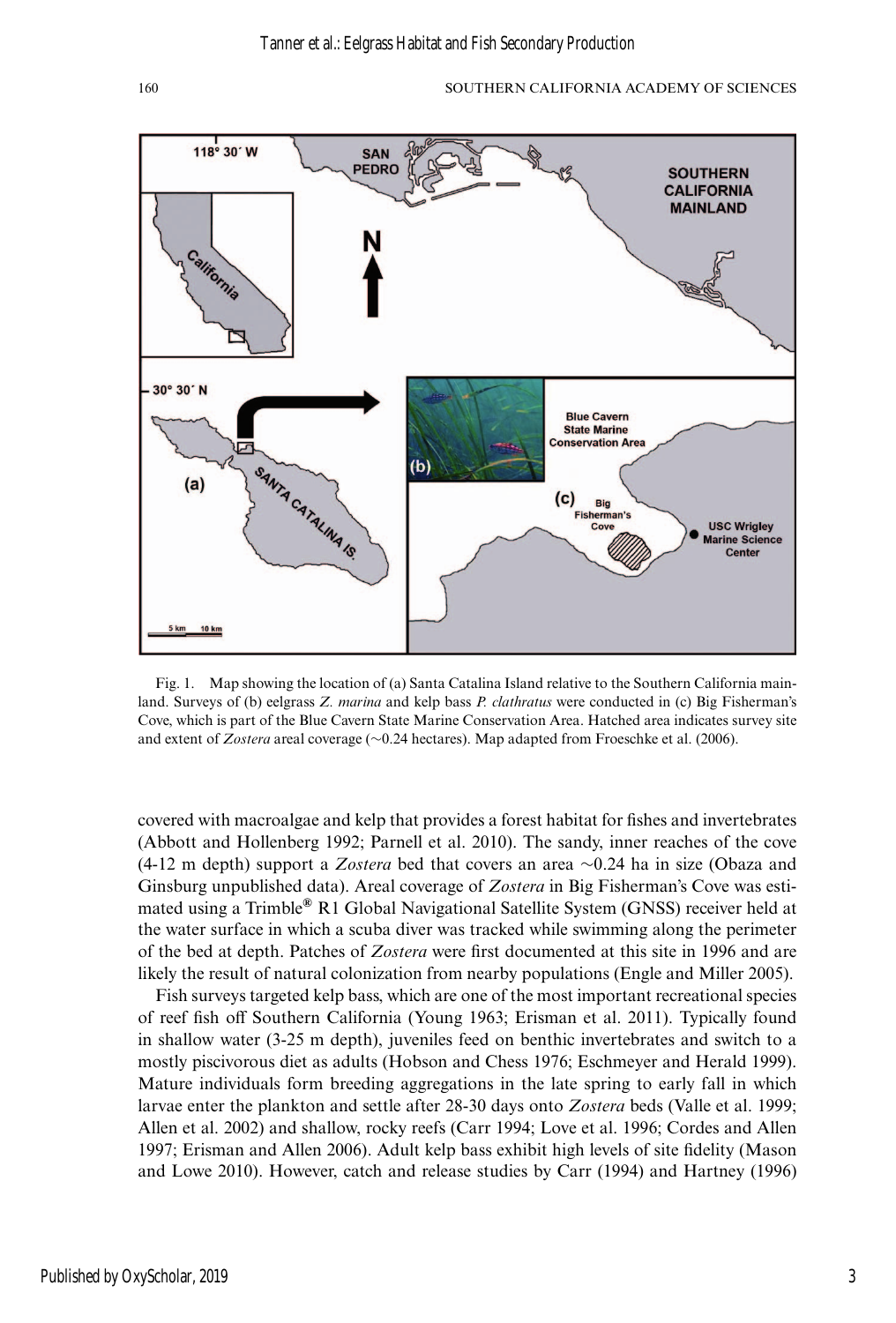

Fig. 1. Map showing the location of (a) Santa Catalina Island relative to the Southern California mainland. Surveys of (b) eelgrass *Z. marina* and kelp bass *P. clathratus* were conducted in (c) Big Fisherman's Cove, which is part of the Blue Cavern State Marine Conservation Area. Hatched area indicates survey site and extent of *Zostera* areal coverage (∼0.24 hectares). Map adapted from Froeschke et al. (2006).

covered with macroalgae and kelp that provides a forest habitat for fishes and invertebrates (Abbott and Hollenberg 1992; Parnell et al. 2010). The sandy, inner reaches of the cove (4-12 m depth) support a *Zostera* bed that covers an area ∼0.24 ha in size (Obaza and Ginsburg unpublished data). Areal coverage of *Zostera* in Big Fisherman's Cove was estimated using a Trimble**®** R1 Global Navigational Satellite System (GNSS) receiver held at the water surface in which a scuba diver was tracked while swimming along the perimeter of the bed at depth. Patches of *Zostera* were first documented at this site in 1996 and are likely the result of natural colonization from nearby populations (Engle and Miller 2005).

Fish surveys targeted kelp bass, which are one of the most important recreational species of reef fish off Southern California (Young 1963; Erisman et al. 2011). Typically found in shallow water (3-25 m depth), juveniles feed on benthic invertebrates and switch to a mostly piscivorous diet as adults (Hobson and Chess 1976; Eschmeyer and Herald 1999). Mature individuals form breeding aggregations in the late spring to early fall in which larvae enter the plankton and settle after 28-30 days onto *Zostera* beds (Valle et al. 1999; Allen et al. 2002) and shallow, rocky reefs (Carr 1994; Love et al. 1996; Cordes and Allen 1997; Erisman and Allen 2006). Adult kelp bass exhibit high levels of site fidelity (Mason and Lowe 2010). However, catch and release studies by Carr (1994) and Hartney (1996)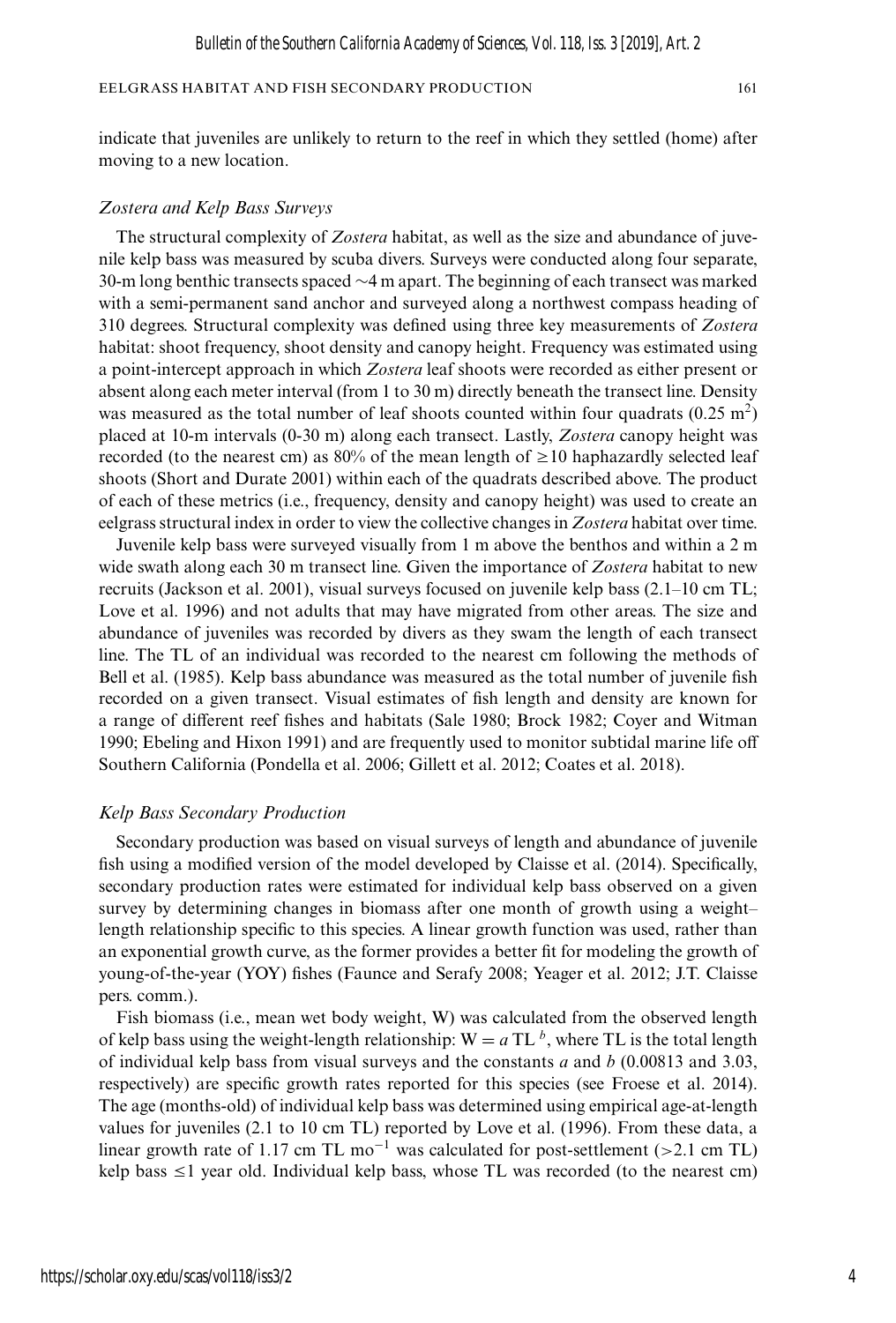indicate that juveniles are unlikely to return to the reef in which they settled (home) after moving to a new location.

#### *Zostera and Kelp Bass Surveys*

The structural complexity of *Zostera* habitat, as well as the size and abundance of juvenile kelp bass was measured by scuba divers. Surveys were conducted along four separate, 30-m long benthic transects spaced ∼4 m apart. The beginning of each transect was marked with a semi-permanent sand anchor and surveyed along a northwest compass heading of 310 degrees. Structural complexity was defined using three key measurements of *Zostera* habitat: shoot frequency, shoot density and canopy height. Frequency was estimated using a point-intercept approach in which *Zostera* leaf shoots were recorded as either present or absent along each meter interval (from 1 to 30 m) directly beneath the transect line. Density was measured as the total number of leaf shoots counted within four quadrats  $(0.25 \text{ m}^2)$ placed at 10-m intervals (0-30 m) along each transect. Lastly, *Zostera* canopy height was recorded (to the nearest cm) as 80% of the mean length of  $\geq$  10 haphazardly selected leaf shoots (Short and Durate 2001) within each of the quadrats described above. The product of each of these metrics (i.e., frequency, density and canopy height) was used to create an eelgrass structural index in order to view the collective changes in *Zostera* habitat over time.

Juvenile kelp bass were surveyed visually from 1 m above the benthos and within a 2 m wide swath along each 30 m transect line. Given the importance of *Zostera* habitat to new recruits (Jackson et al. 2001), visual surveys focused on juvenile kelp bass (2.1–10 cm TL; Love et al. 1996) and not adults that may have migrated from other areas. The size and abundance of juveniles was recorded by divers as they swam the length of each transect line. The TL of an individual was recorded to the nearest cm following the methods of Bell et al. (1985). Kelp bass abundance was measured as the total number of juvenile fish recorded on a given transect. Visual estimates of fish length and density are known for a range of different reef fishes and habitats (Sale 1980; Brock 1982; Coyer and Witman 1990; Ebeling and Hixon 1991) and are frequently used to monitor subtidal marine life off Southern California (Pondella et al. 2006; Gillett et al. 2012; Coates et al. 2018).

#### *Kelp Bass Secondary Production*

Secondary production was based on visual surveys of length and abundance of juvenile fish using a modified version of the model developed by Claisse et al. (2014). Specifically, secondary production rates were estimated for individual kelp bass observed on a given survey by determining changes in biomass after one month of growth using a weight– length relationship specific to this species. A linear growth function was used, rather than an exponential growth curve, as the former provides a better fit for modeling the growth of young-of-the-year (YOY) fishes (Faunce and Serafy 2008; Yeager et al. 2012; J.T. Claisse pers. comm.).

Fish biomass (i.e., mean wet body weight, W) was calculated from the observed length of kelp bass using the weight-length relationship:  $W = a TL<sup>b</sup>$ , where TL is the total length of individual kelp bass from visual surveys and the constants *a* and *b* (0.00813 and 3.03, respectively) are specific growth rates reported for this species (see Froese et al. 2014). The age (months-old) of individual kelp bass was determined using empirical age-at-length values for juveniles (2.1 to 10 cm TL) reported by Love et al. (1996). From these data, a linear growth rate of 1.17 cm TL mo<sup>-1</sup> was calculated for post-settlement (>2.1 cm TL) kelp bass  $\leq 1$  year old. Individual kelp bass, whose TL was recorded (to the nearest cm)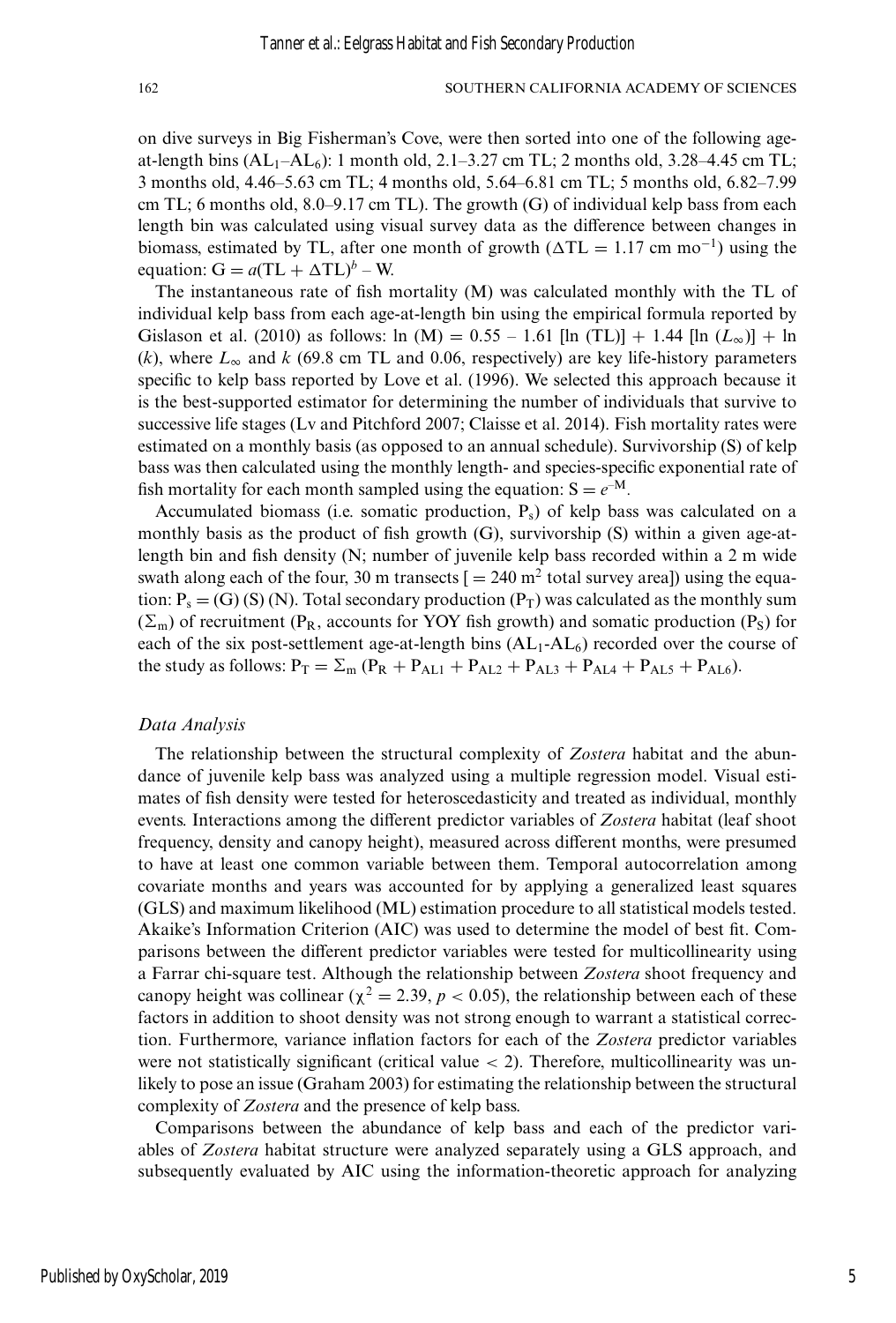on dive surveys in Big Fisherman's Cove, were then sorted into one of the following ageat-length bins  $(AL_1–AL_6)$ : 1 month old, 2.1–3.27 cm TL; 2 months old, 3.28–4.45 cm TL; 3 months old, 4.46–5.63 cm TL; 4 months old, 5.64–6.81 cm TL; 5 months old, 6.82–7.99 cm TL; 6 months old,  $8.0-9.17$  cm TL). The growth (G) of individual kelp bass from each length bin was calculated using visual survey data as the difference between changes in biomass, estimated by TL, after one month of growth ( $\Delta TL = 1.17$  cm mo<sup>-1</sup>) using the equation:  $G = a(TL + \Delta T L)^b - W$ .

The instantaneous rate of fish mortality (M) was calculated monthly with the TL of individual kelp bass from each age-at-length bin using the empirical formula reported by Gislason et al. (2010) as follows: ln (M) =  $0.55 - 1.61$  [ln (TL)] + 1.44 [ln ( $L_{\infty}$ )] + ln  $(k)$ , where  $L_{\infty}$  and  $k$  (69.8 cm TL and 0.06, respectively) are key life-history parameters specific to kelp bass reported by Love et al. (1996). We selected this approach because it is the best-supported estimator for determining the number of individuals that survive to successive life stages (Lv and Pitchford 2007; Claisse et al. 2014). Fish mortality rates were estimated on a monthly basis (as opposed to an annual schedule). Survivorship (S) of kelp bass was then calculated using the monthly length- and species-specific exponential rate of fish mortality for each month sampled using the equation:  $S = e^{-M}$ .

Accumulated biomass (i.e. somatic production,  $P_s$ ) of kelp bass was calculated on a monthly basis as the product of fish growth (G), survivorship (S) within a given age-atlength bin and fish density (N; number of juvenile kelp bass recorded within a 2 m wide swath along each of the four, 30 m transects  $[ = 240 \text{ m}^2 \text{ total survey area}]$  using the equation:  $P_s = (G) (S) (N)$ . Total secondary production  $(P_T)$  was calculated as the monthly sum  $(\Sigma_{\rm m})$  of recruitment (P<sub>R</sub>, accounts for YOY fish growth) and somatic production (P<sub>S</sub>) for each of the six post-settlement age-at-length bins  $(AL_1-AL_6)$  recorded over the course of the study as follows:  $P_T = \sum_m (P_R + P_{AL1} + P_{AL2} + P_{AL3} + P_{AL4} + P_{AL5} + P_{AL6}).$ 

#### *Data Analysis*

The relationship between the structural complexity of *Zostera* habitat and the abundance of juvenile kelp bass was analyzed using a multiple regression model. Visual estimates of fish density were tested for heteroscedasticity and treated as individual, monthly events. Interactions among the different predictor variables of *Zostera* habitat (leaf shoot frequency, density and canopy height), measured across different months, were presumed to have at least one common variable between them. Temporal autocorrelation among covariate months and years was accounted for by applying a generalized least squares (GLS) and maximum likelihood (ML) estimation procedure to all statistical models tested. Akaike's Information Criterion (AIC) was used to determine the model of best fit. Comparisons between the different predictor variables were tested for multicollinearity using a Farrar chi-square test. Although the relationship between *Zostera* shoot frequency and canopy height was collinear ( $\chi^2 = 2.39$ ,  $p < 0.05$ ), the relationship between each of these factors in addition to shoot density was not strong enough to warrant a statistical correction. Furthermore, variance inflation factors for each of the *Zostera* predictor variables were not statistically significant (critical value  $<$  2). Therefore, multicollinearity was unlikely to pose an issue (Graham 2003) for estimating the relationship between the structural complexity of *Zostera* and the presence of kelp bass.

Comparisons between the abundance of kelp bass and each of the predictor variables of *Zostera* habitat structure were analyzed separately using a GLS approach, and subsequently evaluated by AIC using the information-theoretic approach for analyzing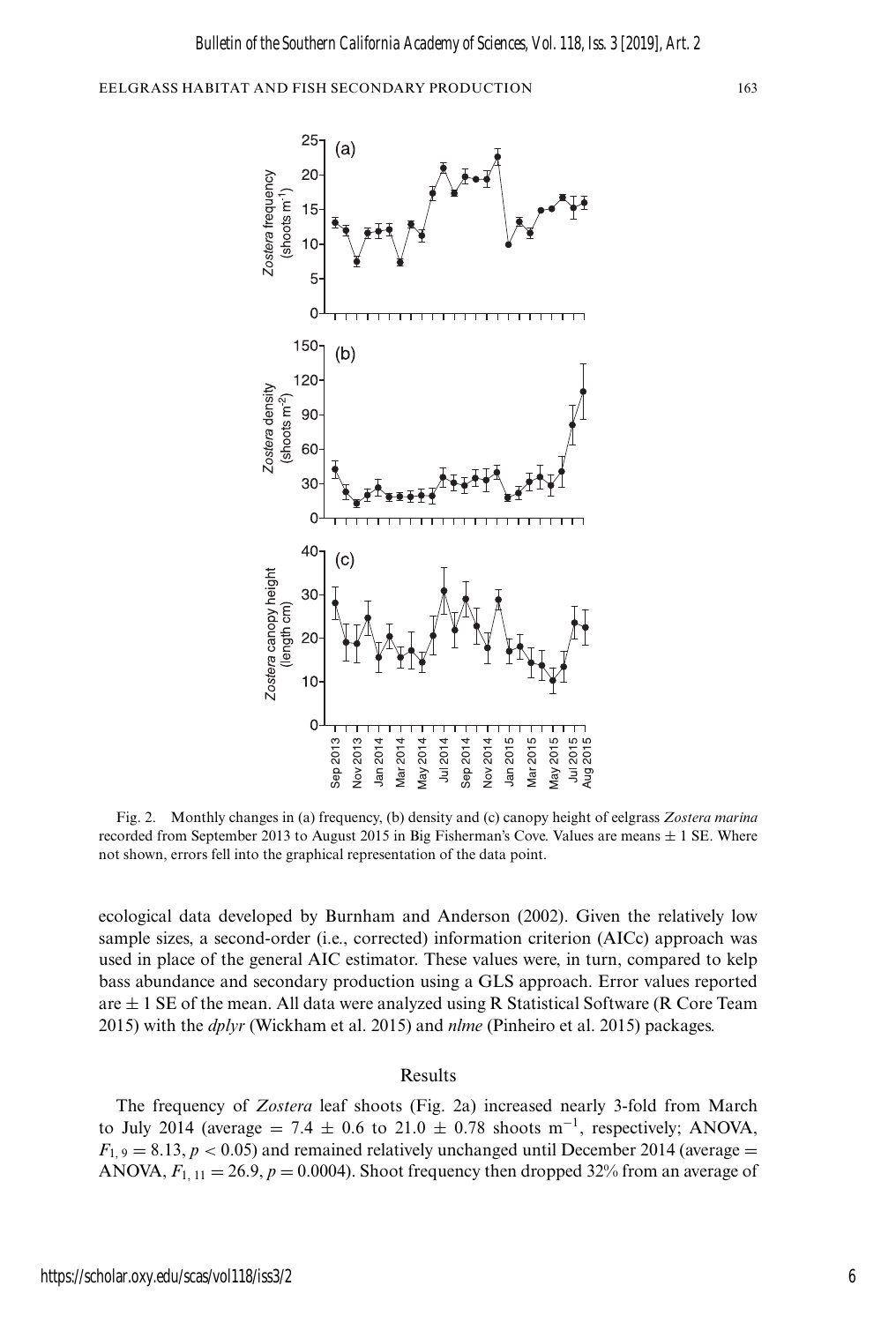

Fig. 2. Monthly changes in (a) frequency, (b) density and (c) canopy height of eelgrass *Zostera marina* recorded from September 2013 to August 2015 in Big Fisherman's Cove. Values are means  $\pm$  1 SE. Where not shown, errors fell into the graphical representation of the data point.

ecological data developed by Burnham and Anderson (2002). Given the relatively low sample sizes, a second-order (i.e., corrected) information criterion (AICc) approach was used in place of the general AIC estimator. These values were, in turn, compared to kelp bass abundance and secondary production using a GLS approach. Error values reported are  $\pm$  1 SE of the mean. All data were analyzed using R Statistical Software (R Core Team 2015) with the *dplyr* (Wickham et al. 2015) and *nlme* (Pinheiro et al. 2015) packages.

#### Results

The frequency of *Zostera* leaf shoots (Fig. 2a) increased nearly 3-fold from March to July 2014 (average = 7.4  $\pm$  0.6 to 21.0  $\pm$  0.78 shoots m<sup>-1</sup>, respectively; ANOVA,  $F_{1,9} = 8.13$ ,  $p < 0.05$ ) and remained relatively unchanged until December 2014 (average = ANOVA,  $F_{1, 11} = 26.9, p = 0.0004$ ). Shoot frequency then dropped 32% from an average of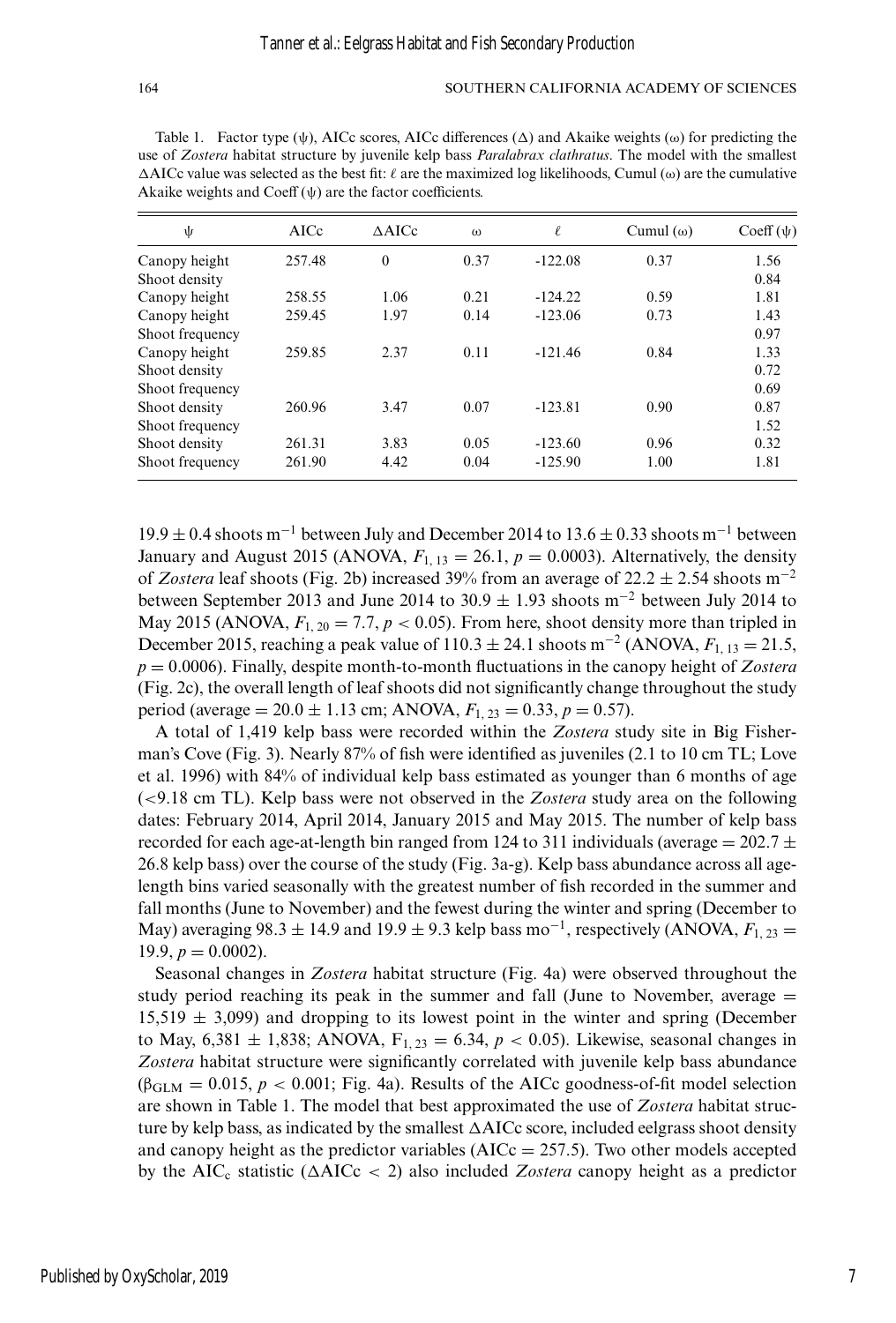Table 1. Factor type  $(\psi)$ , AICc scores, AICc differences  $(\Delta)$  and Akaike weights  $(\omega)$  for predicting the use of *Zostera* habitat structure by juvenile kelp bass *Paralabrax clathratus*. The model with the smallest  $\triangle$ AICc value was selected as the best fit:  $\ell$  are the maximized log likelihoods, Cumul ( $\omega$ ) are the cumulative Akaike weights and Coeff  $(\psi)$  are the factor coefficients.

| ψ               | AICc   | $\triangle$ AICc | $\omega$ | $\ell$    | Cumul $(\omega)$ | $Coeff(\psi)$ |
|-----------------|--------|------------------|----------|-----------|------------------|---------------|
| Canopy height   | 257.48 | $\theta$         | 0.37     | $-122.08$ | 0.37             | 1.56          |
| Shoot density   |        |                  |          |           |                  | 0.84          |
| Canopy height   | 258.55 | 1.06             | 0.21     | $-124.22$ | 0.59             | 1.81          |
| Canopy height   | 259.45 | 1.97             | 0.14     | $-123.06$ | 0.73             | 1.43          |
| Shoot frequency |        |                  |          |           |                  | 0.97          |
| Canopy height   | 259.85 | 2.37             | 0.11     | $-121.46$ | 0.84             | 1.33          |
| Shoot density   |        |                  |          |           |                  | 0.72          |
| Shoot frequency |        |                  |          |           |                  | 0.69          |
| Shoot density   | 260.96 | 3.47             | 0.07     | $-123.81$ | 0.90             | 0.87          |
| Shoot frequency |        |                  |          |           |                  | 1.52          |
| Shoot density   | 261.31 | 3.83             | 0.05     | $-123.60$ | 0.96             | 0.32          |
| Shoot frequency | 261.90 | 4.42             | 0.04     | $-125.90$ | 1.00             | 1.81          |

 $19.9 \pm 0.4$  shoots m<sup>-1</sup> between July and December 2014 to 13.6  $\pm$  0.33 shoots m<sup>-1</sup> between January and August 2015 (ANOVA,  $F_{1, 13} = 26.1$ ,  $p = 0.0003$ ). Alternatively, the density of *Zostera* leaf shoots (Fig. 2b) increased 39% from an average of  $22.2 \pm 2.54$  shoots m<sup>-2</sup> between September 2013 and June 2014 to 30.9 <sup>±</sup> 1.93 shoots m−<sup>2</sup> between July 2014 to May 2015 (ANOVA,  $F_{1, 20} = 7.7, p < 0.05$ ). From here, shoot density more than tripled in December 2015, reaching a peak value of  $110.3 \pm 24.1$  shoots m<sup>-2</sup> (ANOVA,  $F_{1, 13} = 21.5$ , *p* = 0.0006). Finally, despite month-to-month fluctuations in the canopy height of *Zostera* (Fig. 2c), the overall length of leaf shoots did not significantly change throughout the study period (average =  $20.0 \pm 1.13$  cm; ANOVA,  $F_{1, 23} = 0.33, p = 0.57$ ).

A total of 1,419 kelp bass were recorded within the *Zostera* study site in Big Fisherman's Cove (Fig. 3). Nearly 87% of fish were identified as juveniles (2.1 to 10 cm TL; Love et al. 1996) with 84% of individual kelp bass estimated as younger than 6 months of age (<9.18 cm TL). Kelp bass were not observed in the *Zostera* study area on the following dates: February 2014, April 2014, January 2015 and May 2015. The number of kelp bass recorded for each age-at-length bin ranged from 124 to 311 individuals (average  $= 202.7 \pm$ 26.8 kelp bass) over the course of the study (Fig. 3a-g). Kelp bass abundance across all agelength bins varied seasonally with the greatest number of fish recorded in the summer and fall months (June to November) and the fewest during the winter and spring (December to May) averaging 98.3  $\pm$  14.9 and 19.9  $\pm$  9.3 kelp bass mo<sup>-1</sup>, respectively (ANOVA,  $F_{1,23}$  = 19.9,  $p = 0.0002$ ).

Seasonal changes in *Zostera* habitat structure (Fig. 4a) were observed throughout the study period reaching its peak in the summer and fall (June to November, average  $=$  $15,519 \pm 3,099$ ) and dropping to its lowest point in the winter and spring (December to May,  $6,381 \pm 1,838$ ; ANOVA,  $F_{1,23} = 6.34$ ,  $p < 0.05$ ). Likewise, seasonal changes in *Zostera* habitat structure were significantly correlated with juvenile kelp bass abundance  $(\beta_{\text{GLM}} = 0.015, p < 0.001$ ; Fig. 4a). Results of the AICc goodness-of-fit model selection are shown in Table 1. The model that best approximated the use of *Zostera* habitat structure by kelp bass, as indicated by the smallest  $\Delta AICc$  score, included eelgrass shoot density and canopy height as the predictor variables ( $AICc = 257.5$ ). Two other models accepted by the  $AIC_c$  statistic ( $\Delta AICc < 2$ ) also included *Zostera* canopy height as a predictor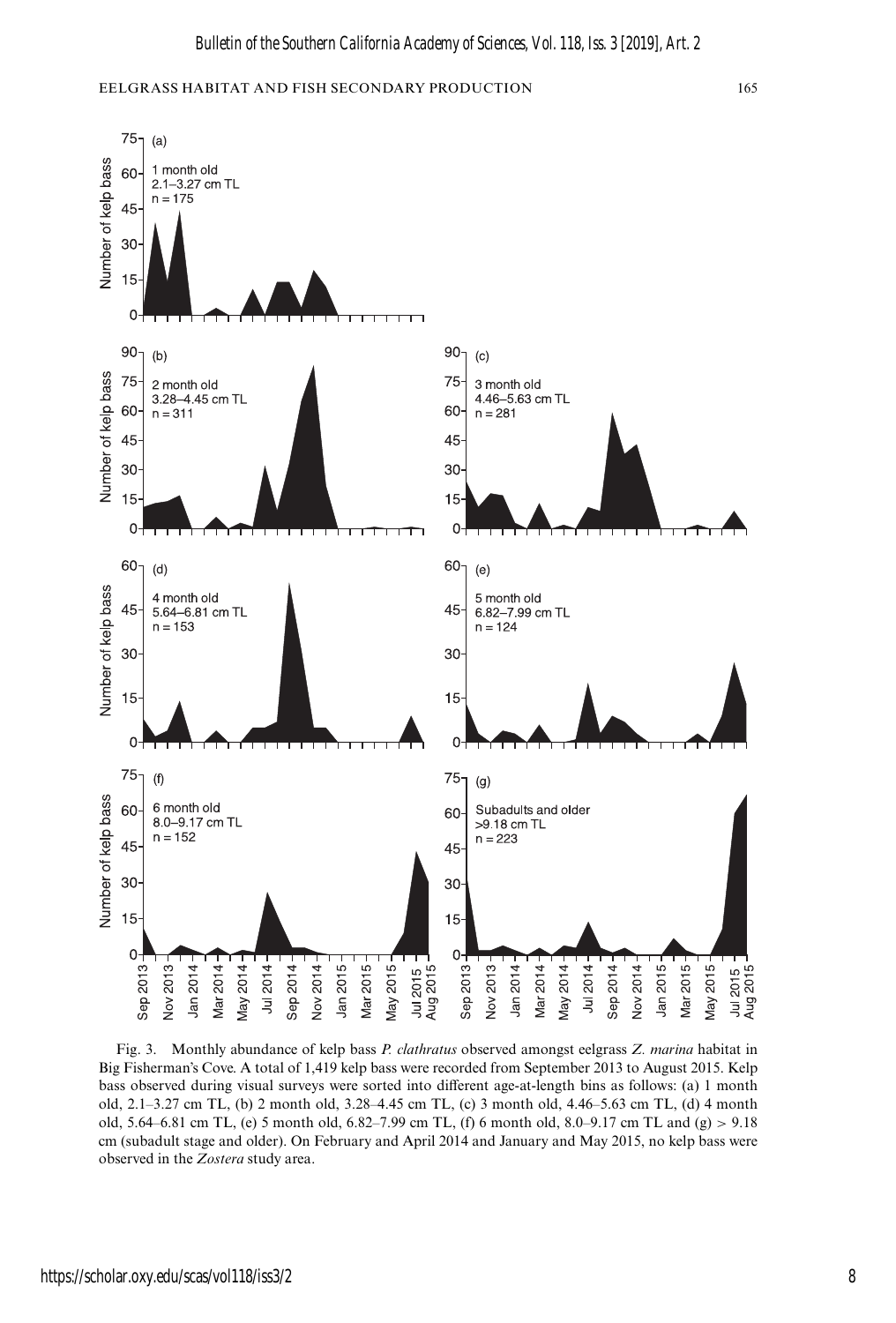

Fig. 3. Monthly abundance of kelp bass *P. clathratus* observed amongst eelgrass *Z. marina* habitat in Big Fisherman's Cove. A total of 1,419 kelp bass were recorded from September 2013 to August 2015. Kelp bass observed during visual surveys were sorted into different age-at-length bins as follows: (a) 1 month old, 2.1–3.27 cm TL, (b) 2 month old, 3.28–4.45 cm TL, (c) 3 month old, 4.46–5.63 cm TL, (d) 4 month old, 5.64–6.81 cm TL, (e) 5 month old, 6.82–7.99 cm TL, (f) 6 month old, 8.0–9.17 cm TL and (g) > 9.18 cm (subadult stage and older). On February and April 2014 and January and May 2015, no kelp bass were observed in the *Zostera* study area.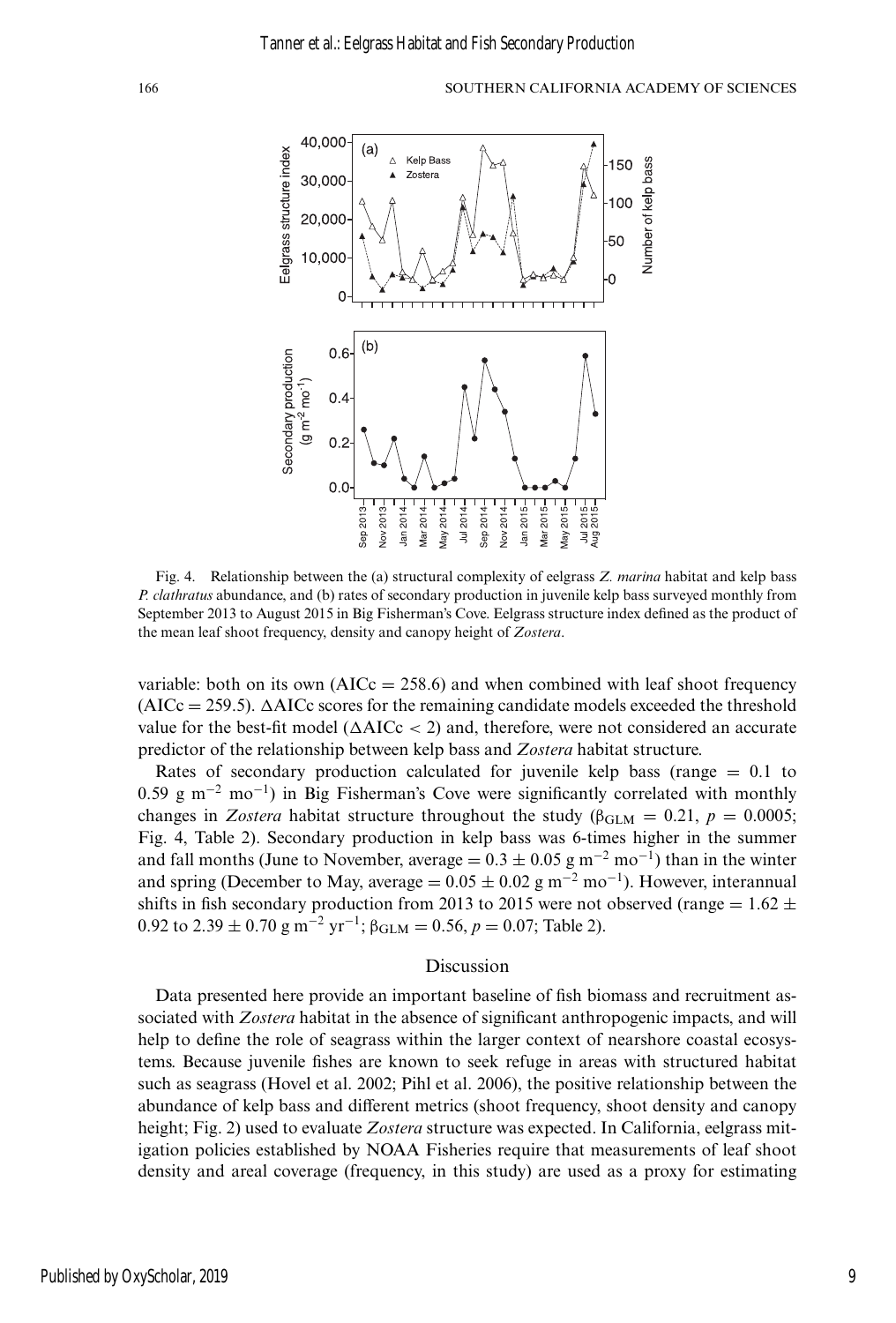

Fig. 4. Relationship between the (a) structural complexity of eelgrass *Z. marina* habitat and kelp bass *P. clathratus* abundance, and (b) rates of secondary production in juvenile kelp bass surveyed monthly from September 2013 to August 2015 in Big Fisherman's Cove. Eelgrass structure index defined as the product of the mean leaf shoot frequency, density and canopy height of *Zostera*.

variable: both on its own  $(AICc = 258.6)$  and when combined with leaf shoot frequency  $(AICc = 259.5)$ .  $\triangle AICc$  scores for the remaining candidate models exceeded the threshold value for the best-fit model ( $\Delta AICc < 2$ ) and, therefore, were not considered an accurate predictor of the relationship between kelp bass and *Zostera* habitat structure.

Rates of secondary production calculated for juvenile kelp bass (range  $= 0.1$  to 0.59 g m<sup>-2</sup> mo<sup>-1</sup>) in Big Fisherman's Cove were significantly correlated with monthly changes in *Zostera* habitat structure throughout the study ( $\beta_{\text{GLM}} = 0.21$ ,  $p = 0.0005$ ; Fig. 4, Table 2). Secondary production in kelp bass was 6-times higher in the summer and fall months (June to November, average =  $0.3 \pm 0.05$  g m<sup>-2</sup> mo<sup>-1</sup>) than in the winter and spring (December to May, average =  $0.05 \pm 0.02$  g m<sup>-2</sup> mo<sup>-1</sup>). However, interannual shifts in fish secondary production from 2013 to 2015 were not observed (range =  $1.62 \pm$ 0.92 to 2.39  $\pm$  0.70 g m<sup>-2</sup> yr<sup>-1</sup>;  $\beta_{\text{GLM}} = 0.56$ ,  $p = 0.07$ ; Table 2).

#### Discussion

Data presented here provide an important baseline of fish biomass and recruitment associated with *Zostera* habitat in the absence of significant anthropogenic impacts, and will help to define the role of seagrass within the larger context of nearshore coastal ecosystems. Because juvenile fishes are known to seek refuge in areas with structured habitat such as seagrass (Hovel et al. 2002; Pihl et al. 2006), the positive relationship between the abundance of kelp bass and different metrics (shoot frequency, shoot density and canopy height; Fig. 2) used to evaluate *Zostera* structure was expected. In California, eelgrass mitigation policies established by NOAA Fisheries require that measurements of leaf shoot density and areal coverage (frequency, in this study) are used as a proxy for estimating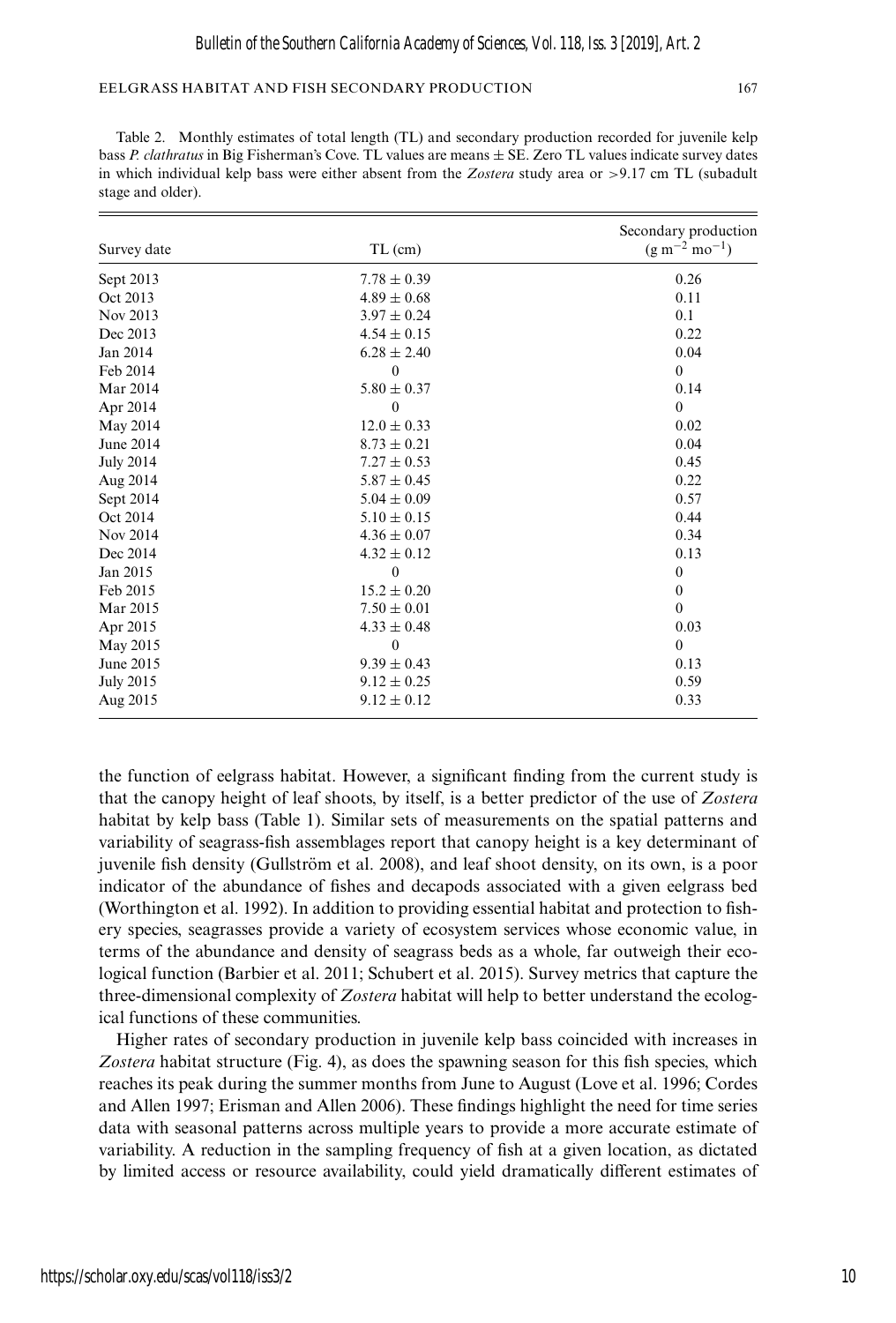|                  |                 | Secondary production  |
|------------------|-----------------|-----------------------|
| Survey date      | $TL$ (cm)       | $(g m^{-2} m o^{-1})$ |
| Sept 2013        | $7.78 \pm 0.39$ | 0.26                  |
| Oct 2013         | $4.89 \pm 0.68$ | 0.11                  |
| Nov 2013         | $3.97 \pm 0.24$ | 0.1                   |
| Dec 2013         | $4.54 \pm 0.15$ | 0.22                  |
| Jan 2014         | $6.28 \pm 2.40$ | 0.04                  |
| Feb 2014         | $\mathbf{0}$    | $\mathbf{0}$          |
| Mar 2014         | $5.80 \pm 0.37$ | 0.14                  |
| Apr 2014         | $\mathbf{0}$    | $\mathbf{0}$          |
| May 2014         | $12.0 \pm 0.33$ | 0.02                  |
| June 2014        | $8.73 \pm 0.21$ | 0.04                  |
| <b>July 2014</b> | $7.27 \pm 0.53$ | 0.45                  |
| Aug 2014         | $5.87 \pm 0.45$ | 0.22                  |
| Sept 2014        | $5.04 \pm 0.09$ | 0.57                  |
| Oct 2014         | $5.10 \pm 0.15$ | 0.44                  |
| Nov 2014         | $4.36 \pm 0.07$ | 0.34                  |
| Dec 2014         | $4.32 \pm 0.12$ | 0.13                  |
| Jan 2015         | $\theta$        | $\boldsymbol{0}$      |
| Feb 2015         | $15.2 \pm 0.20$ | $\mathbf{0}$          |
| Mar 2015         | $7.50 \pm 0.01$ | $\theta$              |
| Apr 2015         | $4.33 \pm 0.48$ | 0.03                  |
| May 2015         | $\theta$        | $\theta$              |
| June 2015        | $9.39 \pm 0.43$ | 0.13                  |
| <b>July 2015</b> | $9.12 \pm 0.25$ | 0.59                  |
| Aug 2015         | $9.12 \pm 0.12$ | 0.33                  |

Table 2. Monthly estimates of total length (TL) and secondary production recorded for juvenile kelp bass *P. clathratus* in Big Fisherman's Cove. TL values are means ± SE. Zero TL values indicate survey dates in which individual kelp bass were either absent from the *Zostera* study area or >9.17 cm TL (subadult stage and older).

the function of eelgrass habitat. However, a significant finding from the current study is that the canopy height of leaf shoots, by itself, is a better predictor of the use of *Zostera* habitat by kelp bass (Table 1). Similar sets of measurements on the spatial patterns and variability of seagrass-fish assemblages report that canopy height is a key determinant of juvenile fish density (Gullström et al. 2008), and leaf shoot density, on its own, is a poor indicator of the abundance of fishes and decapods associated with a given eelgrass bed (Worthington et al. 1992). In addition to providing essential habitat and protection to fishery species, seagrasses provide a variety of ecosystem services whose economic value, in terms of the abundance and density of seagrass beds as a whole, far outweigh their ecological function (Barbier et al. 2011; Schubert et al. 2015). Survey metrics that capture the three-dimensional complexity of *Zostera* habitat will help to better understand the ecological functions of these communities.

Higher rates of secondary production in juvenile kelp bass coincided with increases in Zostera habitat structure (Fig. 4), as does the spawning season for this fish species, which reaches its peak during the summer months from June to August (Love et al. 1996; Cordes and Allen 1997; Erisman and Allen 2006). These findings highlight the need for time series data with seasonal patterns across multiple years to provide a more accurate estimate of variability. A reduction in the sampling frequency of fish at a given location, as dictated by limited access or resource availability, could yield dramatically different estimates of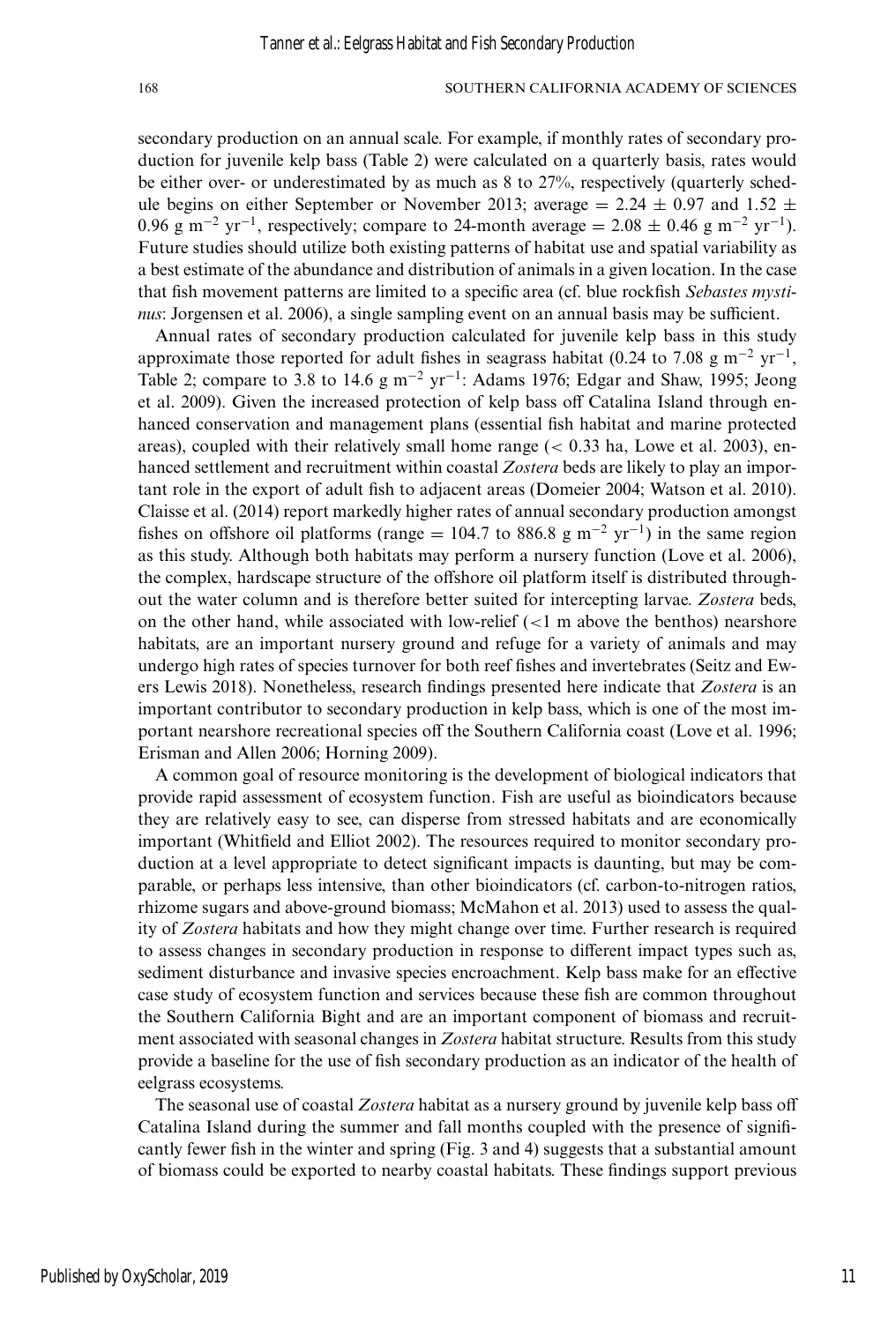secondary production on an annual scale. For example, if monthly rates of secondary production for juvenile kelp bass (Table 2) were calculated on a quarterly basis, rates would be either over- or underestimated by as much as 8 to 27%, respectively (quarterly schedule begins on either September or November 2013; average = 2.24  $\pm$  0.97 and 1.52  $\pm$ 0.96 g m<sup>-2</sup> yr<sup>-1</sup>, respectively; compare to 24-month average = 2.08  $\pm$  0.46 g m<sup>-2</sup> yr<sup>-1</sup>). Future studies should utilize both existing patterns of habitat use and spatial variability as a best estimate of the abundance and distribution of animals in a given location. In the case that fish movement patterns are limited to a specific area (cf. blue rockfish *Sebastes mystinus*: Jorgensen et al. 2006), a single sampling event on an annual basis may be sufficient.

Annual rates of secondary production calculated for juvenile kelp bass in this study approximate those reported for adult fishes in seagrass habitat (0.24 to 7.08 g m<sup>-2</sup> yr<sup>-1</sup>, Table 2; compare to 3.8 to 14.6 g m<sup>-2</sup> yr<sup>-1</sup>: Adams 1976; Edgar and Shaw, 1995; Jeong et al. 2009). Given the increased protection of kelp bass off Catalina Island through enhanced conservation and management plans (essential fish habitat and marine protected areas), coupled with their relatively small home range  $(< 0.33$  ha, Lowe et al. 2003), enhanced settlement and recruitment within coastal *Zostera* beds are likely to play an important role in the export of adult fish to adjacent areas (Domeier 2004; Watson et al. 2010). Claisse et al. (2014) report markedly higher rates of annual secondary production amongst fishes on offshore oil platforms (range = 104.7 to 886.8 g m<sup>-2</sup> yr<sup>-1</sup>) in the same region as this study. Although both habitats may perform a nursery function (Love et al. 2006), the complex, hardscape structure of the offshore oil platform itself is distributed throughout the water column and is therefore better suited for intercepting larvae. *Zostera* beds, on the other hand, while associated with low-relief  $\left($  < 1 m above the benthos) nearshore habitats, are an important nursery ground and refuge for a variety of animals and may undergo high rates of species turnover for both reef fishes and invertebrates (Seitz and Ewers Lewis 2018). Nonetheless, research findings presented here indicate that *Zostera* is an important contributor to secondary production in kelp bass, which is one of the most important nearshore recreational species off the Southern California coast (Love et al. 1996; Erisman and Allen 2006; Horning 2009).

A common goal of resource monitoring is the development of biological indicators that provide rapid assessment of ecosystem function. Fish are useful as bioindicators because they are relatively easy to see, can disperse from stressed habitats and are economically important (Whitfield and Elliot 2002). The resources required to monitor secondary production at a level appropriate to detect significant impacts is daunting, but may be comparable, or perhaps less intensive, than other bioindicators (cf. carbon-to-nitrogen ratios, rhizome sugars and above-ground biomass; McMahon et al. 2013) used to assess the quality of *Zostera* habitats and how they might change over time. Further research is required to assess changes in secondary production in response to different impact types such as, sediment disturbance and invasive species encroachment. Kelp bass make for an effective case study of ecosystem function and services because these fish are common throughout the Southern California Bight and are an important component of biomass and recruitment associated with seasonal changes in *Zostera* habitat structure. Results from this study provide a baseline for the use of fish secondary production as an indicator of the health of eelgrass ecosystems.

The seasonal use of coastal *Zostera* habitat as a nursery ground by juvenile kelp bass off Catalina Island during the summer and fall months coupled with the presence of significantly fewer fish in the winter and spring (Fig. 3 and 4) suggests that a substantial amount of biomass could be exported to nearby coastal habitats. These findings support previous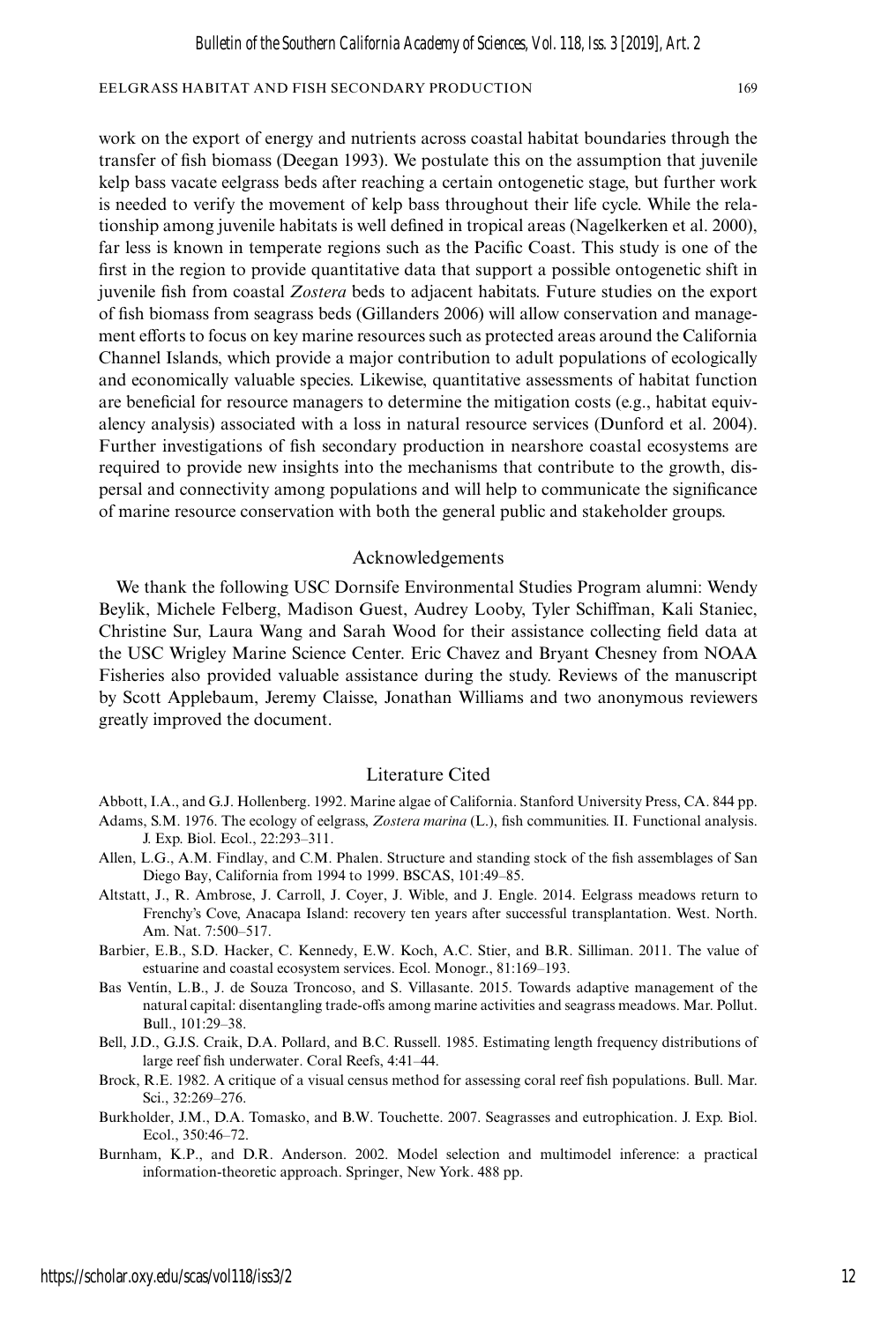work on the export of energy and nutrients across coastal habitat boundaries through the transfer of fish biomass (Deegan 1993). We postulate this on the assumption that juvenile kelp bass vacate eelgrass beds after reaching a certain ontogenetic stage, but further work is needed to verify the movement of kelp bass throughout their life cycle. While the relationship among juvenile habitats is well defined in tropical areas (Nagelkerken et al. 2000), far less is known in temperate regions such as the Pacific Coast. This study is one of the first in the region to provide quantitative data that support a possible ontogenetic shift in juvenile fish from coastal *Zostera* beds to adjacent habitats. Future studies on the export of fish biomass from seagrass beds (Gillanders 2006) will allow conservation and management efforts to focus on key marine resources such as protected areas around the California Channel Islands, which provide a major contribution to adult populations of ecologically and economically valuable species. Likewise, quantitative assessments of habitat function are beneficial for resource managers to determine the mitigation costs (e.g., habitat equivalency analysis) associated with a loss in natural resource services (Dunford et al. 2004). Further investigations of fish secondary production in nearshore coastal ecosystems are required to provide new insights into the mechanisms that contribute to the growth, dispersal and connectivity among populations and will help to communicate the significance of marine resource conservation with both the general public and stakeholder groups.

#### Acknowledgements

We thank the following USC Dornsife Environmental Studies Program alumni: Wendy Beylik, Michele Felberg, Madison Guest, Audrey Looby, Tyler Schiffman, Kali Staniec, Christine Sur, Laura Wang and Sarah Wood for their assistance collecting field data at the USC Wrigley Marine Science Center. Eric Chavez and Bryant Chesney from NOAA Fisheries also provided valuable assistance during the study. Reviews of the manuscript by Scott Applebaum, Jeremy Claisse, Jonathan Williams and two anonymous reviewers greatly improved the document.

#### Literature Cited

Abbott, I.A., and G.J. Hollenberg. 1992. Marine algae of California. Stanford University Press, CA. 844 pp.

- Adams, S.M. 1976. The ecology of eelgrass, *Zostera marina* (L.), fish communities. II. Functional analysis. J. Exp. Biol. Ecol., 22:293–311.
- Allen, L.G., A.M. Findlay, and C.M. Phalen. Structure and standing stock of the fish assemblages of San Diego Bay, California from 1994 to 1999. BSCAS, 101:49–85.
- Altstatt, J., R. Ambrose, J. Carroll, J. Coyer, J. Wible, and J. Engle. 2014. Eelgrass meadows return to Frenchy's Cove, Anacapa Island: recovery ten years after successful transplantation. West. North. Am. Nat. 7:500–517.
- Barbier, E.B., S.D. Hacker, C. Kennedy, E.W. Koch, A.C. Stier, and B.R. Silliman. 2011. The value of estuarine and coastal ecosystem services. Ecol. Monogr., 81:169–193.
- Bas Ventín, L.B., J. de Souza Troncoso, and S. Villasante. 2015. Towards adaptive management of the natural capital: disentangling trade-offs among marine activities and seagrass meadows. Mar. Pollut. Bull., 101:29–38.
- Bell, J.D., G.J.S. Craik, D.A. Pollard, and B.C. Russell. 1985. Estimating length frequency distributions of large reef fish underwater. Coral Reefs, 4:41–44.
- Brock, R.E. 1982. A critique of a visual census method for assessing coral reef fish populations. Bull. Mar. Sci., 32:269–276.
- Burkholder, J.M., D.A. Tomasko, and B.W. Touchette. 2007. Seagrasses and eutrophication. J. Exp. Biol. Ecol., 350:46–72.
- Burnham, K.P., and D.R. Anderson. 2002. Model selection and multimodel inference: a practical information-theoretic approach. Springer, New York. 488 pp.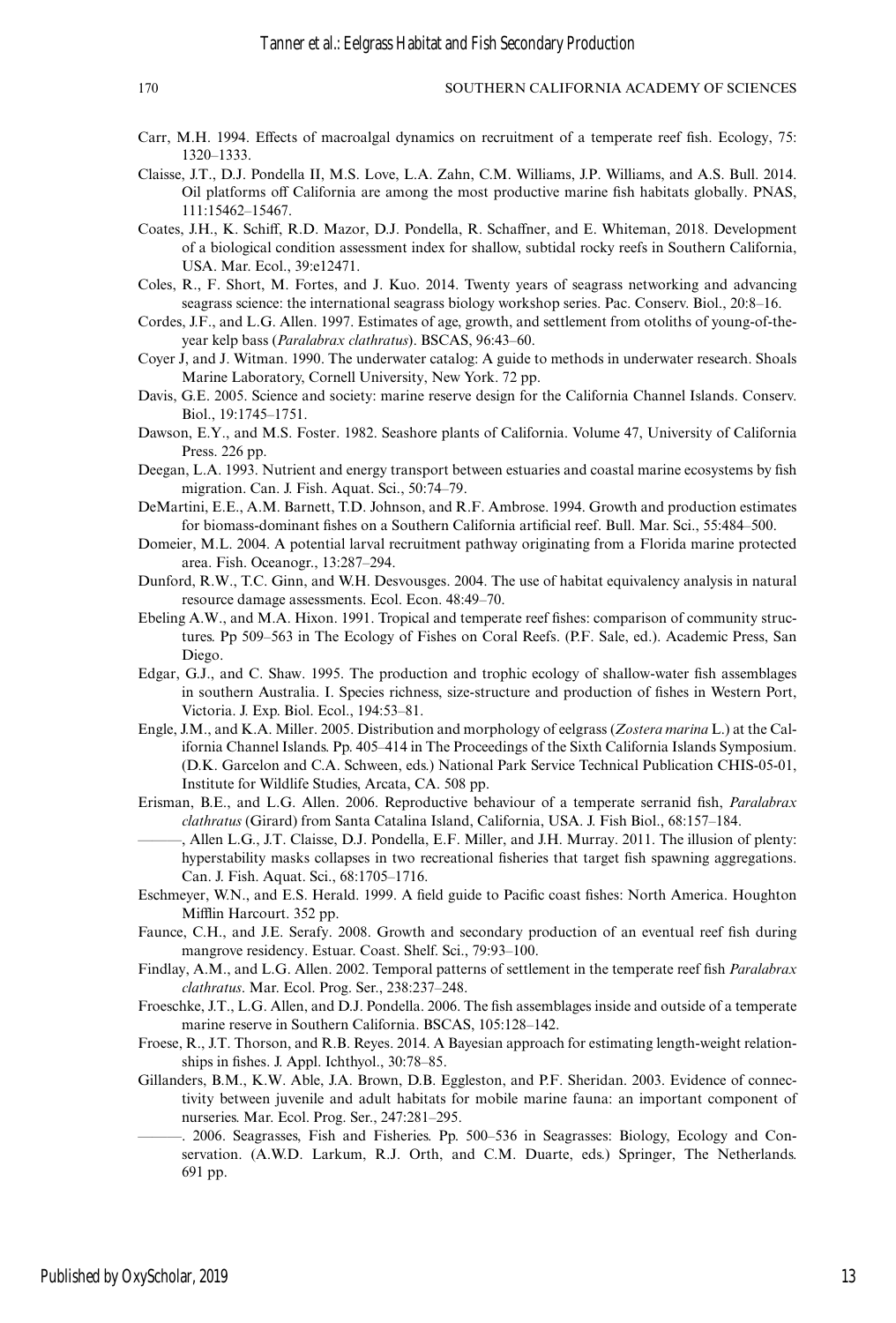- Carr, M.H. 1994. Effects of macroalgal dynamics on recruitment of a temperate reef fish. Ecology, 75: 1320–1333.
- Claisse, J.T., D.J. Pondella II, M.S. Love, L.A. Zahn, C.M. Williams, J.P. Williams, and A.S. Bull. 2014. Oil platforms off California are among the most productive marine fish habitats globally. PNAS, 111:15462–15467.
- Coates, J.H., K. Schiff, R.D. Mazor, D.J. Pondella, R. Schaffner, and E. Whiteman, 2018. Development of a biological condition assessment index for shallow, subtidal rocky reefs in Southern California, USA. Mar. Ecol., 39:e12471.
- Coles, R., F. Short, M. Fortes, and J. Kuo. 2014. Twenty years of seagrass networking and advancing seagrass science: the international seagrass biology workshop series. Pac. Conserv. Biol., 20:8–16.
- Cordes, J.F., and L.G. Allen. 1997. Estimates of age, growth, and settlement from otoliths of young-of-theyear kelp bass (*Paralabrax clathratus*). BSCAS, 96:43–60.
- Coyer J, and J. Witman. 1990. The underwater catalog: A guide to methods in underwater research. Shoals Marine Laboratory, Cornell University, New York. 72 pp.
- Davis, G.E. 2005. Science and society: marine reserve design for the California Channel Islands. Conserv. Biol., 19:1745–1751.
- Dawson, E.Y., and M.S. Foster. 1982. Seashore plants of California. Volume 47, University of California Press. 226 pp.
- Deegan, L.A. 1993. Nutrient and energy transport between estuaries and coastal marine ecosystems by fish migration. Can. J. Fish. Aquat. Sci., 50:74–79.
- DeMartini, E.E., A.M. Barnett, T.D. Johnson, and R.F. Ambrose. 1994. Growth and production estimates for biomass-dominant fishes on a Southern California artificial reef. Bull. Mar. Sci., 55:484–500.
- Domeier, M.L. 2004. A potential larval recruitment pathway originating from a Florida marine protected area. Fish. Oceanogr., 13:287–294.
- Dunford, R.W., T.C. Ginn, and W.H. Desvousges. 2004. The use of habitat equivalency analysis in natural resource damage assessments. Ecol. Econ. 48:49–70.
- Ebeling A.W., and M.A. Hixon. 1991. Tropical and temperate reef fishes: comparison of community structures. Pp 509–563 in The Ecology of Fishes on Coral Reefs. (P.F. Sale, ed.). Academic Press, San Diego.
- Edgar, G.J., and C. Shaw. 1995. The production and trophic ecology of shallow-water fish assemblages in southern Australia. I. Species richness, size-structure and production of fishes in Western Port, Victoria. J. Exp. Biol. Ecol., 194:53–81.
- Engle, J.M., and K.A. Miller. 2005. Distribution and morphology of eelgrass (*Zostera marina* L.) at the California Channel Islands. Pp. 405–414 in The Proceedings of the Sixth California Islands Symposium. (D.K. Garcelon and C.A. Schween, eds.) National Park Service Technical Publication CHIS-05-01, Institute for Wildlife Studies, Arcata, CA. 508 pp.
- Erisman, B.E., and L.G. Allen. 2006. Reproductive behaviour of a temperate serranid fish, *Paralabrax clathratus* (Girard) from Santa Catalina Island, California, USA. J. Fish Biol., 68:157–184.
- ———, Allen L.G., J.T. Claisse, D.J. Pondella, E.F. Miller, and J.H. Murray. 2011. The illusion of plenty: hyperstability masks collapses in two recreational fisheries that target fish spawning aggregations. Can. J. Fish. Aquat. Sci., 68:1705–1716.
- Eschmeyer, W.N., and E.S. Herald. 1999. A field guide to Pacific coast fishes: North America. Houghton Mifflin Harcourt. 352 pp.
- Faunce, C.H., and J.E. Serafy. 2008. Growth and secondary production of an eventual reef fish during mangrove residency. Estuar. Coast. Shelf. Sci., 79:93–100.
- Findlay, A.M., and L.G. Allen. 2002. Temporal patterns of settlement in the temperate reef fish *Paralabrax clathratus*. Mar. Ecol. Prog. Ser., 238:237–248.
- Froeschke, J.T., L.G. Allen, and D.J. Pondella. 2006. The fish assemblages inside and outside of a temperate marine reserve in Southern California. BSCAS, 105:128–142.
- Froese, R., J.T. Thorson, and R.B. Reyes. 2014. A Bayesian approach for estimating length-weight relationships in fishes. J. Appl. Ichthyol., 30:78–85.
- Gillanders, B.M., K.W. Able, J.A. Brown, D.B. Eggleston, and P.F. Sheridan. 2003. Evidence of connectivity between juvenile and adult habitats for mobile marine fauna: an important component of nurseries. Mar. Ecol. Prog. Ser., 247:281–295.
- ———. 2006. Seagrasses, Fish and Fisheries. Pp. 500–536 in Seagrasses: Biology, Ecology and Conservation. (A.W.D. Larkum, R.J. Orth, and C.M. Duarte, eds.) Springer, The Netherlands. 691 pp.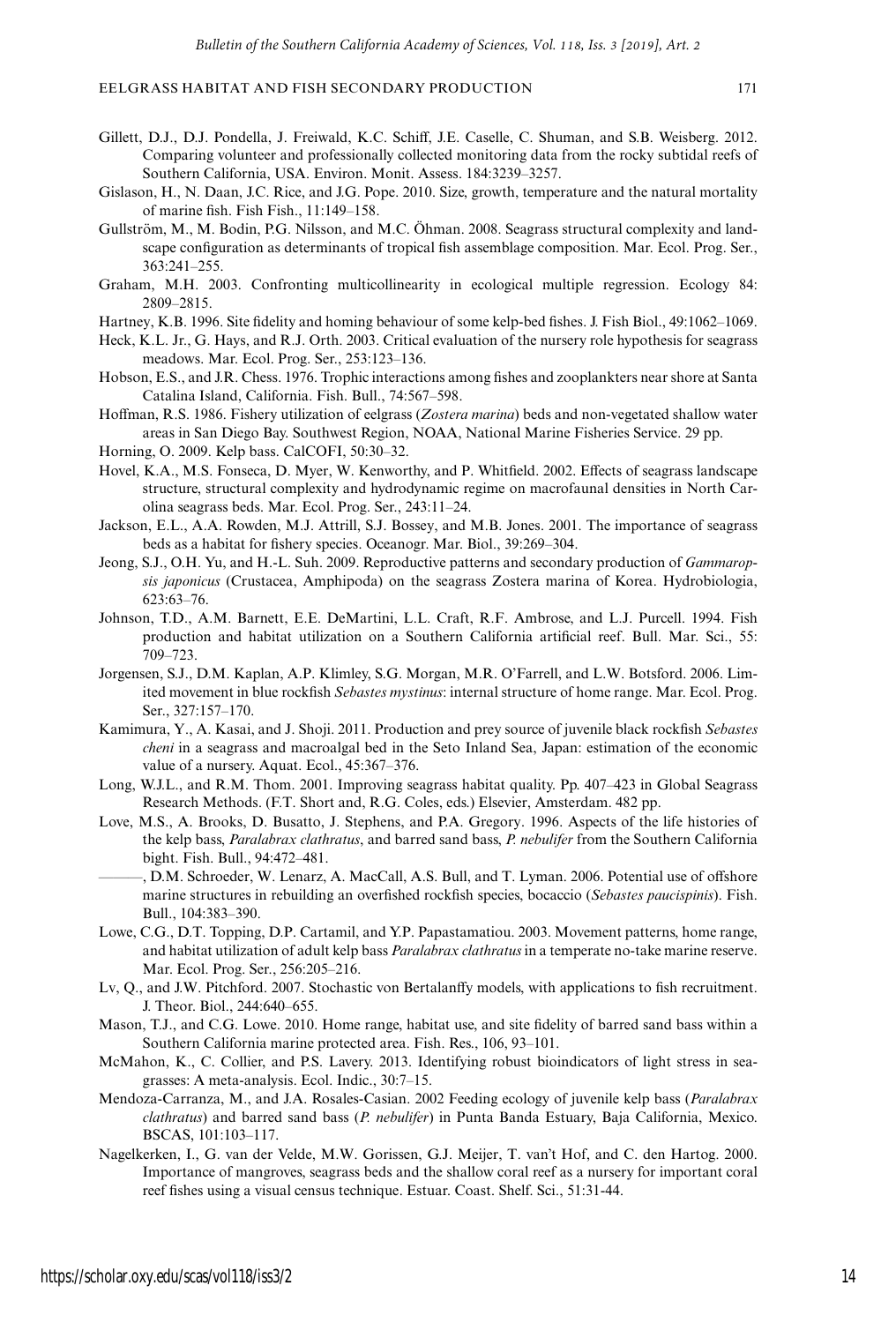- Gillett, D.J., D.J. Pondella, J. Freiwald, K.C. Schiff, J.E. Caselle, C. Shuman, and S.B. Weisberg. 2012. Comparing volunteer and professionally collected monitoring data from the rocky subtidal reefs of Southern California, USA. Environ. Monit. Assess. 184:3239–3257.
- Gislason, H., N. Daan, J.C. Rice, and J.G. Pope. 2010. Size, growth, temperature and the natural mortality of marine fish. Fish Fish., 11:149–158.
- Gullström, M., M. Bodin, P.G. Nilsson, and M.C. Öhman. 2008. Seagrass structural complexity and landscape configuration as determinants of tropical fish assemblage composition. Mar. Ecol. Prog. Ser., 363:241–255.
- Graham, M.H. 2003. Confronting multicollinearity in ecological multiple regression. Ecology 84: 2809–2815.
- Hartney, K.B. 1996. Site fidelity and homing behaviour of some kelp-bed fishes. J. Fish Biol., 49:1062–1069.
- Heck, K.L. Jr., G. Hays, and R.J. Orth. 2003. Critical evaluation of the nursery role hypothesis for seagrass meadows. Mar. Ecol. Prog. Ser., 253:123–136.
- Hobson, E.S., and J.R. Chess. 1976. Trophic interactions among fishes and zooplankters near shore at Santa Catalina Island, California. Fish. Bull., 74:567–598.
- Hoffman, R.S. 1986. Fishery utilization of eelgrass (*Zostera marina*) beds and non-vegetated shallow water areas in San Diego Bay. Southwest Region, NOAA, National Marine Fisheries Service. 29 pp.
- Horning, O. 2009. Kelp bass. CalCOFI, 50:30–32.
- Hovel, K.A., M.S. Fonseca, D. Myer, W. Kenworthy, and P. Whitfield. 2002. Effects of seagrass landscape structure, structural complexity and hydrodynamic regime on macrofaunal densities in North Carolina seagrass beds. Mar. Ecol. Prog. Ser., 243:11–24.
- Jackson, E.L., A.A. Rowden, M.J. Attrill, S.J. Bossey, and M.B. Jones. 2001. The importance of seagrass beds as a habitat for fishery species. Oceanogr. Mar. Biol., 39:269–304.
- Jeong, S.J., O.H. Yu, and H.-L. Suh. 2009. Reproductive patterns and secondary production of *Gammaropsis japonicus* (Crustacea, Amphipoda) on the seagrass Zostera marina of Korea. Hydrobiologia, 623:63–76.
- Johnson, T.D., A.M. Barnett, E.E. DeMartini, L.L. Craft, R.F. Ambrose, and L.J. Purcell. 1994. Fish production and habitat utilization on a Southern California artificial reef. Bull. Mar. Sci., 55: 709–723.
- Jorgensen, S.J., D.M. Kaplan, A.P. Klimley, S.G. Morgan, M.R. O'Farrell, and L.W. Botsford. 2006. Limited movement in blue rockfish *Sebastes mystinus*: internal structure of home range. Mar. Ecol. Prog. Ser., 327:157–170.
- Kamimura, Y., A. Kasai, and J. Shoji. 2011. Production and prey source of juvenile black rockfish *Sebastes cheni* in a seagrass and macroalgal bed in the Seto Inland Sea, Japan: estimation of the economic value of a nursery. Aquat. Ecol., 45:367–376.
- Long, W.J.L., and R.M. Thom. 2001. Improving seagrass habitat quality. Pp. 407–423 in Global Seagrass Research Methods. (F.T. Short and, R.G. Coles, eds.) Elsevier, Amsterdam. 482 pp.
- Love, M.S., A. Brooks, D. Busatto, J. Stephens, and P.A. Gregory. 1996. Aspects of the life histories of the kelp bass, *Paralabrax clathratus*, and barred sand bass, *P. nebulifer* from the Southern California bight. Fish. Bull., 94:472–481.
- ———, D.M. Schroeder, W. Lenarz, A. MacCall, A.S. Bull, and T. Lyman. 2006. Potential use of offshore marine structures in rebuilding an overfished rockfish species, bocaccio (*Sebastes paucispinis*). Fish. Bull., 104:383–390.
- Lowe, C.G., D.T. Topping, D.P. Cartamil, and Y.P. Papastamatiou. 2003. Movement patterns, home range, and habitat utilization of adult kelp bass *Paralabrax clathratus* in a temperate no-take marine reserve. Mar. Ecol. Prog. Ser., 256:205–216.
- Lv, Q., and J.W. Pitchford. 2007. Stochastic von Bertalanffy models, with applications to fish recruitment. J. Theor. Biol., 244:640–655.
- Mason, T.J., and C.G. Lowe. 2010. Home range, habitat use, and site fidelity of barred sand bass within a Southern California marine protected area. Fish. Res., 106, 93–101.
- McMahon, K., C. Collier, and P.S. Lavery. 2013. Identifying robust bioindicators of light stress in seagrasses: A meta-analysis. Ecol. Indic., 30:7–15.
- Mendoza-Carranza, M., and J.A. Rosales-Casian. 2002 Feeding ecology of juvenile kelp bass (*Paralabrax clathratus*) and barred sand bass (*P. nebulifer*) in Punta Banda Estuary, Baja California, Mexico. BSCAS, 101:103–117.
- Nagelkerken, I., G. van der Velde, M.W. Gorissen, G.J. Meijer, T. van't Hof, and C. den Hartog. 2000. Importance of mangroves, seagrass beds and the shallow coral reef as a nursery for important coral reef fishes using a visual census technique. Estuar. Coast. Shelf. Sci., 51:31-44.